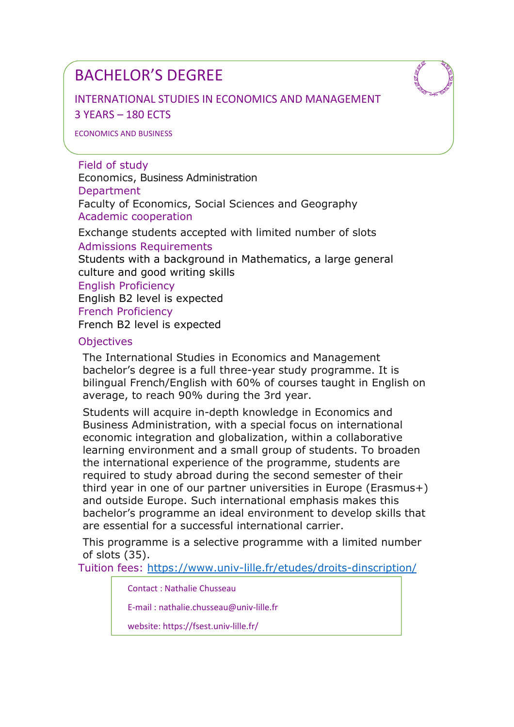INTERNATIONAL STUDIES IN ECONOMICS AND MANAGEMENT 3 YEARS – 180 ECTS

#### ECONOMICS AND BUSINESS

Field of study Economics, Business Administration Department Faculty of Economics, Social Sciences and Geography Academic cooperation

Exchange students accepted with limited number of slots Admissions Requirements

Students with a background in Mathematics, a large general culture and good writing skills English Proficiency English B2 level is expected French Proficiency French B2 level is expected

#### **Objectives**

The International Studies in Economics and Management bachelor's degree is a full three-year study programme. It is bilingual French/English with 60% of courses taught in English on average, to reach 90% during the 3rd year.

Students will acquire in-depth knowledge in Economics and Business Administration, with a special focus on international economic integration and globalization, within a collaborative learning environment and a small group of students. To broaden the international experience of the programme, students are required to study abroad during the second semester of their third year in one of our partner universities in Europe (Erasmus+) and outside Europe. Such international emphasis makes this bachelor's programme an ideal environment to develop skills that are essential for a successful international carrier.

This programme is a selective programme with a limited number of slots (35).

Tuition fees: https://www.univ-lille.fr/etudes/droits-dinscription/

Contact : Nathalie Chusseau

E-mail : nathalie.chusseau@univ-lille.fr

website: https://fsest.univ-lille.fr/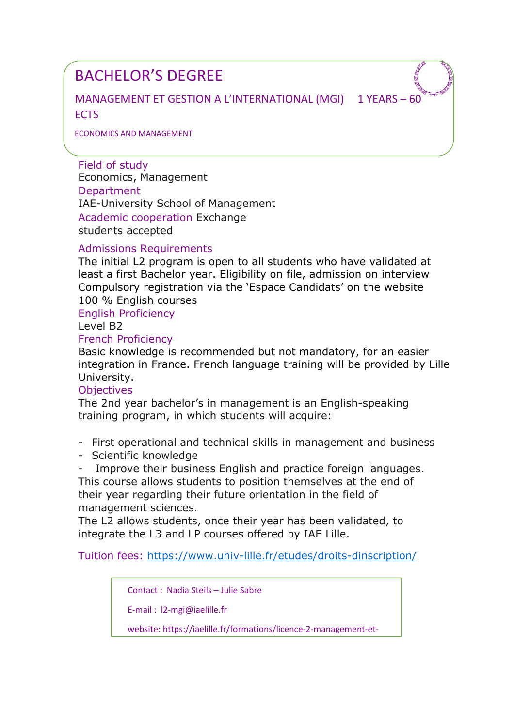MANAGEMENT ET GESTION A L'INTERNATIONAL (MGI) 1 YEARS – 60 **FCTS** 

ECONOMICS AND MANAGEMENT

Field of study Economics, Management **Department** IAE-University School of Management Academic cooperation Exchange students accepted

#### Admissions Requirements

The initial L2 program is open to all students who have validated at least a first Bachelor year. Eligibility on file, admission on interview Compulsory registration via the 'Espace Candidats' on the website 100 % English courses

English Proficiency

Level B2

#### French Proficiency

Basic knowledge is recommended but not mandatory, for an easier integration in France. French language training will be provided by Lille University.

#### **Objectives**

The 2nd year bachelor's in management is an English-speaking training program, in which students will acquire:

- First operational and technical skills in management and business

- Scientific knowledge

- Improve their business English and practice foreign languages. This course allows students to position themselves at the end of their year regarding their future orientation in the field of management sciences.

The L2 allows students, once their year has been validated, to integrate the L3 and LP courses offered by IAE Lille.

Tuition fees: https://www.univ-lille.fr/etudes/droits-dinscription/

Contact : Nadia Steils – Julie Sabre

E-mail : l2-mgi@iaelille.fr

website: https://iaelille.fr/formations/licence-2-management-et-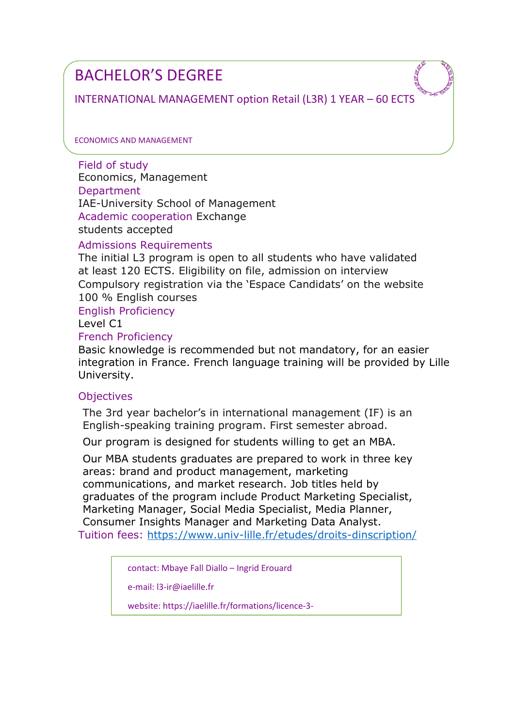INTERNATIONAL MANAGEMENT option Retail (L3R) 1 YEAR – 60 ECTS

ECONOMICS AND MANAGEMENT

Field of study Economics, Management **Department** IAE-University School of Management Academic cooperation Exchange students accepted

# Admissions Requirements

The initial L3 program is open to all students who have validated at least 120 ECTS. Eligibility on file, admission on interview Compulsory registration via the 'Espace Candidats' on the website 100 % English courses

English Proficiency

Level C1

#### French Proficiency

Basic knowledge is recommended but not mandatory, for an easier integration in France. French language training will be provided by Lille University.

# **Objectives**

The 3rd year bachelor's in international management (IF) is an English-speaking training program. First semester abroad.

Our program is designed for students willing to get an MBA.

Our MBA students graduates are prepared to work in three key areas: brand and product management, marketing communications, and market research. Job titles held by graduates of the program include Product Marketing Specialist, Marketing Manager, Social Media Specialist, Media Planner, Consumer Insights Manager and Marketing Data Analyst. Tuition fees: https://www.univ-lille.fr/etudes/droits-dinscription/

contact: Mbaye Fall Diallo – Ingrid Erouard

e-mail: l3-ir@iaelille.fr

website: https://iaelille.fr/formations/licence-3-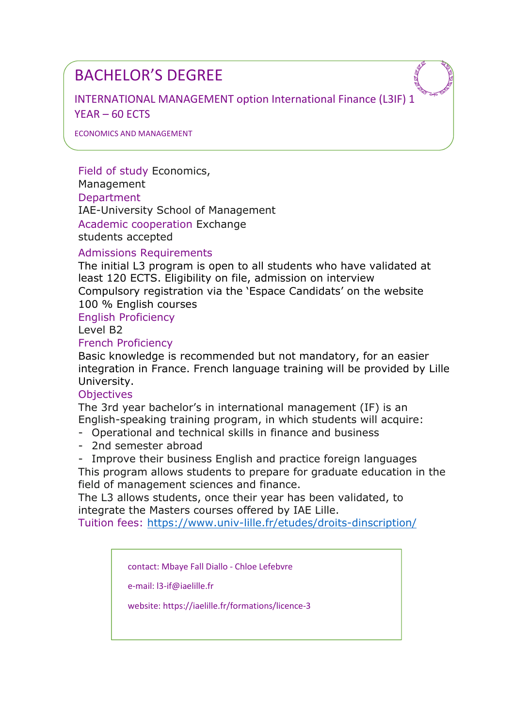INTERNATIONAL MANAGEMENT option International Finance (L3IF) 1 YEAR – 60 ECTS

ECONOMICS AND MANAGEMENT

Field of study Economics, Management **Department** IAE-University School of Management Academic cooperation Exchange students accepted

#### Admissions Requirements

The initial L3 program is open to all students who have validated at least 120 ECTS. Eligibility on file, admission on interview Compulsory registration via the 'Espace Candidats' on the website 100 % English courses

English Proficiency

Level B2

#### French Proficiency

Basic knowledge is recommended but not mandatory, for an easier integration in France. French language training will be provided by Lille University.

#### **Objectives**

The 3rd year bachelor's in international management (IF) is an English-speaking training program, in which students will acquire:

- Operational and technical skills in finance and business
- 2nd semester abroad
- Improve their business English and practice foreign languages

This program allows students to prepare for graduate education in the field of management sciences and finance.

The L3 allows students, once their year has been validated, to integrate the Masters courses offered by IAE Lille.

Tuition fees: https://www.univ-lille.fr/etudes/droits-dinscription/

contact: Mbaye Fall Diallo - Chloe Lefebvre

e-mail: l3-if@iaelille.fr

website: https://iaelille.fr/formations/licence-3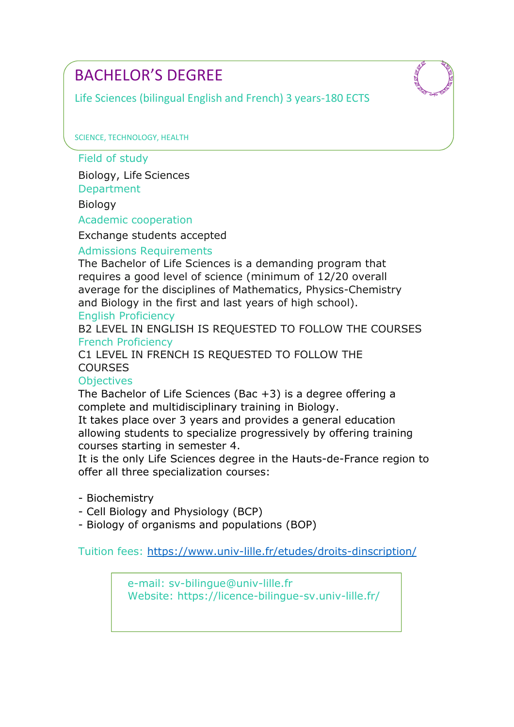Life Sciences (bilingual English and French) 3 years-180 ECTS

SCIENCE, TECHNOLOGY, HEALTH

Field of study

Biology, Life Sciences **Department** 

Biology

Academic cooperation

Exchange students accepted

# Admissions Requirements

The Bachelor of Life Sciences is a demanding program that requires a good level of science (minimum of 12/20 overall average for the disciplines of Mathematics, Physics-Chemistry and Biology in the first and last years of high school).

English Proficiency

B2 LEVEL IN ENGLISH IS REQUESTED TO FOLLOW THE COURSES French Proficiency

C1 LEVEL IN FRENCH IS REQUESTED TO FOLLOW THE **COURSES** 

# **Objectives**

The Bachelor of Life Sciences (Bac +3) is a degree offering a complete and multidisciplinary training in Biology.

It takes place over 3 years and provides a general education allowing students to specialize progressively by offering training courses starting in semester 4.

It is the only Life Sciences degree in the Hauts-de-France region to offer all three specialization courses:

- Biochemistry

- Cell Biology and Physiology (BCP)

- Biology of organisms and populations (BOP)

Tuition fees: https://www.univ-lille.fr/etudes/droits-dinscription/

e-mail: sv-bilingue@univ-lille.fr Website: https://licence-bilingue-sv.univ-lille.fr/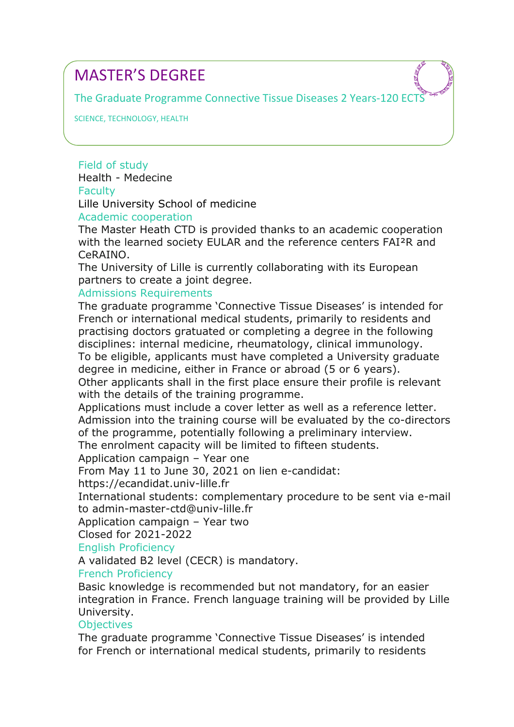The Graduate Programme Connective Tissue Diseases 2 Years-120 ECTS

SCIENCE, TECHNOLOGY, HEALTH

Field of study Health - Medecine **Faculty** Lille University School of medicine

Academic cooperation

The Master Heath CTD is provided thanks to an academic cooperation with the learned society EULAR and the reference centers FAI²R and CeRAINO.

The University of Lille is currently collaborating with its European partners to create a joint degree.

Admissions Requirements

The graduate programme 'Connective Tissue Diseases' is intended for French or international medical students, primarily to residents and practising doctors gratuated or completing a degree in the following disciplines: internal medicine, rheumatology, clinical immunology. To be eligible, applicants must have completed a University graduate degree in medicine, either in France or abroad (5 or 6 years). Other applicants shall in the first place ensure their profile is relevant

with the details of the training programme.

Applications must include a cover letter as well as a reference letter. Admission into the training course will be evaluated by the co-directors of the programme, potentially following a preliminary interview.

The enrolment capacity will be limited to fifteen students.

Application campaign – Year one

From May 11 to June 30, 2021 on lien e-candidat:

https://ecandidat.univ-lille.fr

International students: complementary procedure to be sent via e-mail to admin-master-ctd@univ-lille.fr

Application campaign – Year two

Closed for 2021-2022

# English Proficiency

A validated B2 level (CECR) is mandatory.

# French Proficiency

Basic knowledge is recommended but not mandatory, for an easier integration in France. French language training will be provided by Lille University.

# **Objectives**

The graduate programme 'Connective Tissue Diseases' is intended for French or international medical students, primarily to residents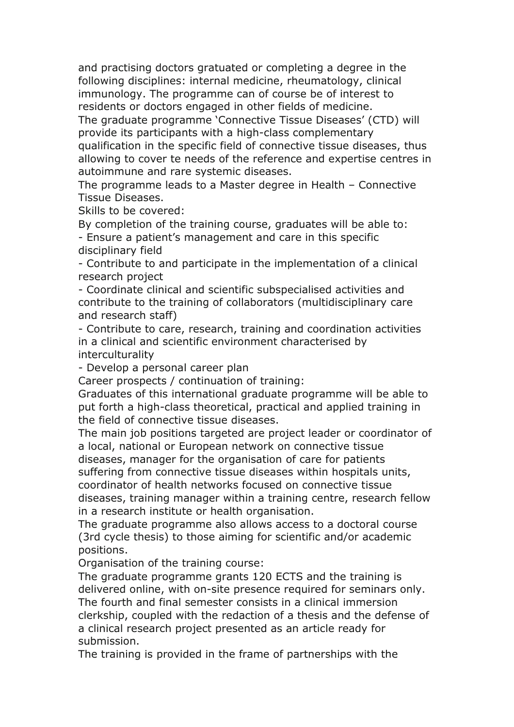and practising doctors gratuated or completing a degree in the following disciplines: internal medicine, rheumatology, clinical immunology. The programme can of course be of interest to residents or doctors engaged in other fields of medicine.

The graduate programme 'Connective Tissue Diseases' (CTD) will provide its participants with a high-class complementary

qualification in the specific field of connective tissue diseases, thus allowing to cover te needs of the reference and expertise centres in autoimmune and rare systemic diseases.

The programme leads to a Master degree in Health – Connective Tissue Diseases.

Skills to be covered:

By completion of the training course, graduates will be able to: - Ensure a patient's management and care in this specific disciplinary field

- Contribute to and participate in the implementation of a clinical research project

- Coordinate clinical and scientific subspecialised activities and contribute to the training of collaborators (multidisciplinary care and research staff)

- Contribute to care, research, training and coordination activities in a clinical and scientific environment characterised by interculturality

- Develop a personal career plan

Career prospects / continuation of training:

Graduates of this international graduate programme will be able to put forth a high-class theoretical, practical and applied training in the field of connective tissue diseases.

The main job positions targeted are project leader or coordinator of a local, national or European network on connective tissue diseases, manager for the organisation of care for patients suffering from connective tissue diseases within hospitals units, coordinator of health networks focused on connective tissue diseases, training manager within a training centre, research fellow in a research institute or health organisation.

The graduate programme also allows access to a doctoral course (3rd cycle thesis) to those aiming for scientific and/or academic positions.

Organisation of the training course:

The graduate programme grants 120 ECTS and the training is delivered online, with on-site presence required for seminars only. The fourth and final semester consists in a clinical immersion clerkship, coupled with the redaction of a thesis and the defense of a clinical research project presented as an article ready for submission.

The training is provided in the frame of partnerships with the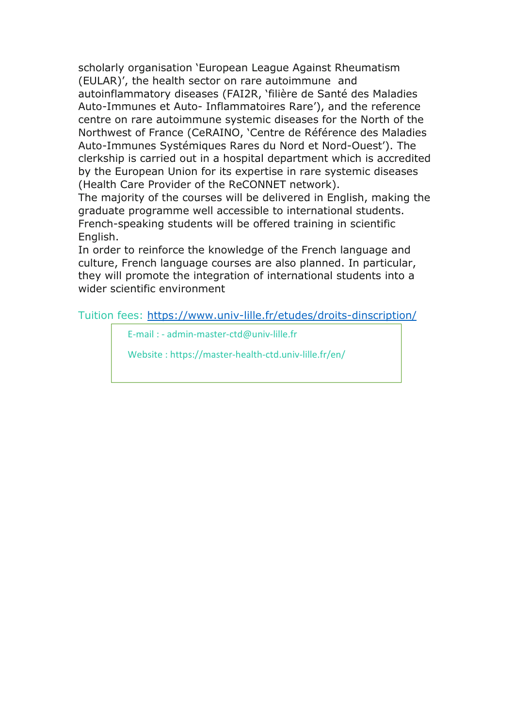scholarly organisation 'European League Against Rheumatism (EULAR)', the health sector on rare autoimmune and autoinflammatory diseases (FAI2R, 'filière de Santé des Maladies Auto-Immunes et Auto- Inflammatoires Rare'), and the reference centre on rare autoimmune systemic diseases for the North of the Northwest of France (CeRAINO, 'Centre de Référence des Maladies Auto-Immunes Systémiques Rares du Nord et Nord-Ouest'). The clerkship is carried out in a hospital department which is accredited by the European Union for its expertise in rare systemic diseases (Health Care Provider of the ReCONNET network).

The majority of the courses will be delivered in English, making the graduate programme well accessible to international students. French-speaking students will be offered training in scientific English.

In order to reinforce the knowledge of the French language and culture, French language courses are also planned. In particular, they will promote the integration of international students into a wider scientific environment

Tuition fees: https://www.univ-lille.fr/etudes/droits-dinscription/

E-mail : - admin-master-ctd@univ-lille.fr

Website : https://master-health-ctd.univ-lille.fr/en/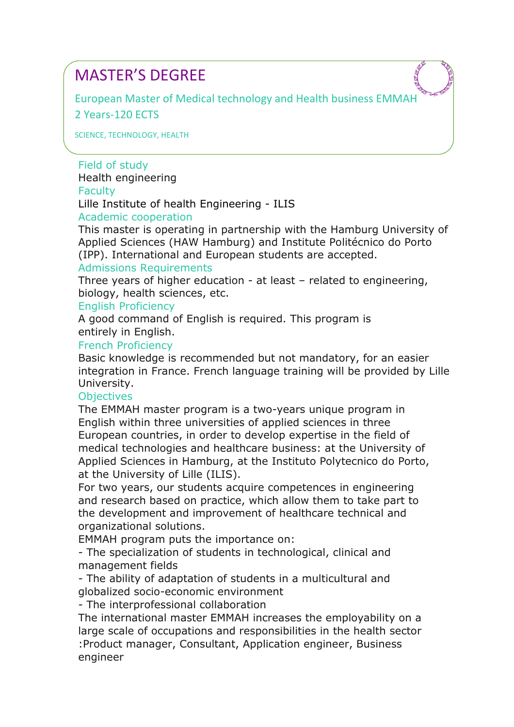European Master of Medical technology and Health business EMMAH 2 Years-120 ECTS

SCIENCE, TECHNOLOGY, HEALTH

Field of study Health engineering **Faculty** Lille Institute of health Engineering - ILIS

Academic cooperation

This master is operating in partnership with the Hamburg University of Applied Sciences (HAW Hamburg) and Institute Politécnico do Porto (IPP). International and European students are accepted.

# Admissions Requirements

Three years of higher education - at least – related to engineering, biology, health sciences, etc.

#### English Proficiency

A good command of English is required. This program is entirely in English.

#### French Proficiency

Basic knowledge is recommended but not mandatory, for an easier integration in France. French language training will be provided by Lille University.

#### **Objectives**

The EMMAH master program is a two-years unique program in English within three universities of applied sciences in three European countries, in order to develop expertise in the field of medical technologies and healthcare business: at the University of Applied Sciences in Hamburg, at the Instituto Polytecnico do Porto, at the University of Lille (ILIS).

For two years, our students acquire competences in engineering and research based on practice, which allow them to take part to the development and improvement of healthcare technical and organizational solutions.

EMMAH program puts the importance on:

- The specialization of students in technological, clinical and management fields

- The ability of adaptation of students in a multicultural and globalized socio-economic environment

- The interprofessional collaboration

The international master EMMAH increases the employability on a large scale of occupations and responsibilities in the health sector :Product manager, Consultant, Application engineer, Business engineer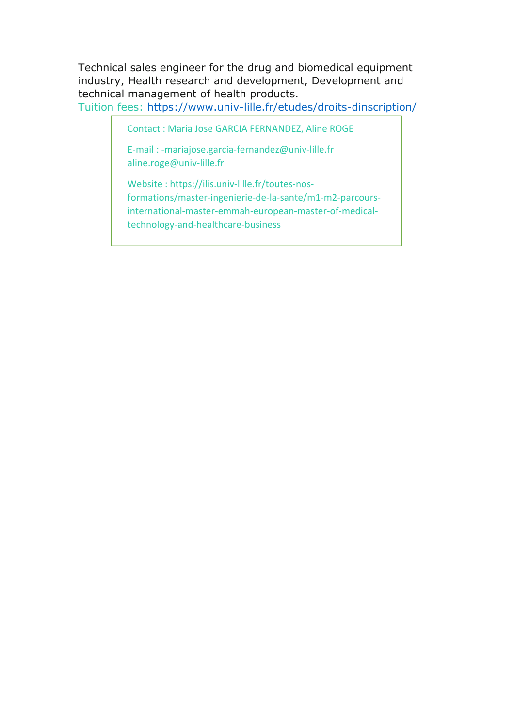Technical sales engineer for the drug and biomedical equipment industry, Health research and development, Development and technical management of health products.

Tuition fees: https://www.univ-lille.fr/etudes/droits-dinscription/

Contact : Maria Jose GARCIA FERNANDEZ, Aline ROGE

E-mail : -mariajose.garcia-fernandez@univ-lille.fr aline.roge@univ-lille.fr

Website : https://ilis.univ-lille.fr/toutes-nosformations/master-ingenierie-de-la-sante/m1-m2-parcoursinternational-master-emmah-european-master-of-medicaltechnology-and-healthcare-business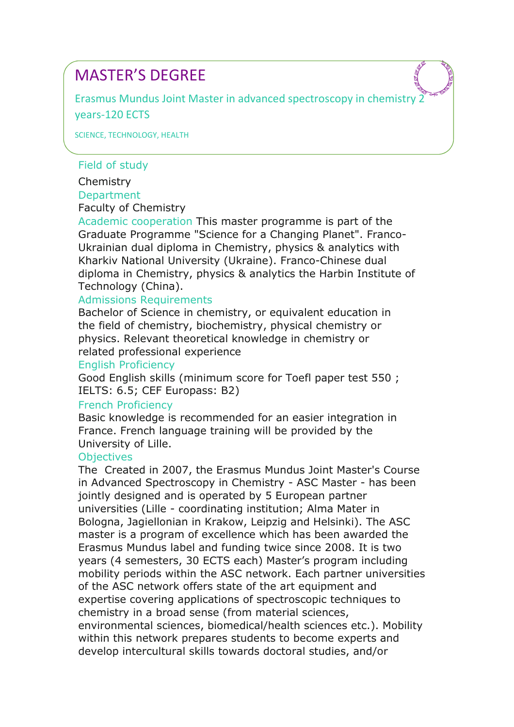Erasmus Mundus Joint Master in advanced spectroscopy in chemistry 2 years-120 ECTS

SCIENCE, TECHNOLOGY, HEALTH

### Field of study

Chemistry **Department** Faculty of Chemistry

Academic cooperation This master programme is part of the Graduate Programme "Science for a Changing Planet". Franco-Ukrainian dual diploma in Chemistry, physics & analytics with Kharkiv National University (Ukraine). Franco-Chinese dual diploma in Chemistry, physics & analytics the Harbin Institute of Technology (China).

### Admissions Requirements

Bachelor of Science in chemistry, or equivalent education in the field of chemistry, biochemistry, physical chemistry or physics. Relevant theoretical knowledge in chemistry or related professional experience

#### English Proficiency

Good English skills (minimum score for Toefl paper test 550 ; IELTS: 6.5; CEF Europass: B2)

# French Proficiency

Basic knowledge is recommended for an easier integration in France. French language training will be provided by the University of Lille.

#### **Objectives**

The Created in 2007, the Erasmus Mundus Joint Master's Course in Advanced Spectroscopy in Chemistry - ASC Master - has been jointly designed and is operated by 5 European partner universities (Lille - coordinating institution; Alma Mater in Bologna, Jagiellonian in Krakow, Leipzig and Helsinki). The ASC master is a program of excellence which has been awarded the Erasmus Mundus label and funding twice since 2008. It is two years (4 semesters, 30 ECTS each) Master's program including mobility periods within the ASC network. Each partner universities of the ASC network offers state of the art equipment and expertise covering applications of spectroscopic techniques to chemistry in a broad sense (from material sciences, environmental sciences, biomedical/health sciences etc.). Mobility within this network prepares students to become experts and develop intercultural skills towards doctoral studies, and/or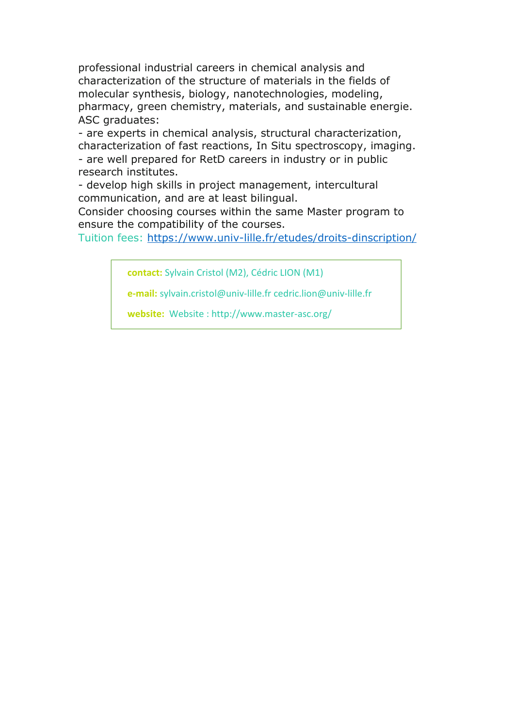professional industrial careers in chemical analysis and characterization of the structure of materials in the fields of molecular synthesis, biology, nanotechnologies, modeling, pharmacy, green chemistry, materials, and sustainable energie. ASC graduates:

- are experts in chemical analysis, structural characterization, characterization of fast reactions, In Situ spectroscopy, imaging.

- are well prepared for RetD careers in industry or in public research institutes.

- develop high skills in project management, intercultural communication, and are at least bilingual.

Consider choosing courses within the same Master program to ensure the compatibility of the courses.

Tuition fees: https://www.univ-lille.fr/etudes/droits-dinscription/

**contact:** Sylvain Cristol (M2), Cédric LION (M1)

**e-mail:** sylvain.cristol@univ-lille.fr cedric.lion@univ-lille.fr

**website:** Website : http://www.master-asc.org/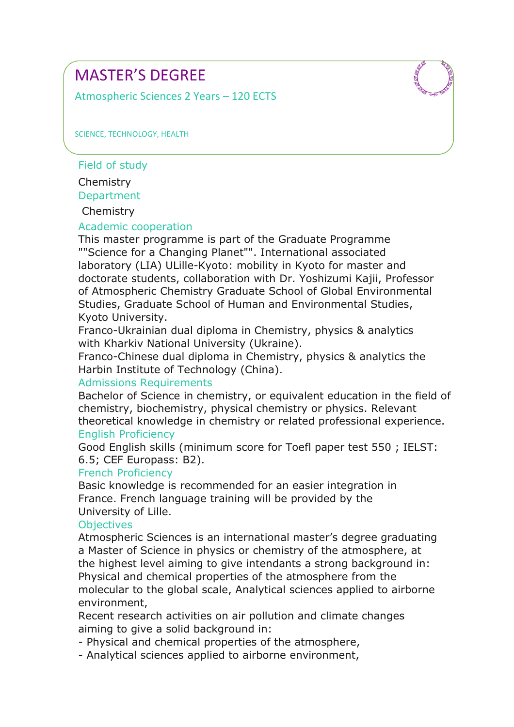Atmospheric Sciences 2 Years – 120 ECTS

SCIENCE, TECHNOLOGY, HEALTH

Field of study

Chemistry

**Department** 

**Chemistry** 

# Academic cooperation

This master programme is part of the Graduate Programme ""Science for a Changing Planet"". International associated laboratory (LIA) ULille-Kyoto: mobility in Kyoto for master and doctorate students, collaboration with Dr. Yoshizumi Kajii, Professor of Atmospheric Chemistry Graduate School of Global Environmental Studies, Graduate School of Human and Environmental Studies, Kyoto University.

Franco-Ukrainian dual diploma in Chemistry, physics & analytics with Kharkiv National University (Ukraine).

Franco-Chinese dual diploma in Chemistry, physics & analytics the Harbin Institute of Technology (China).

# Admissions Requirements

Bachelor of Science in chemistry, or equivalent education in the field of chemistry, biochemistry, physical chemistry or physics. Relevant theoretical knowledge in chemistry or related professional experience.

# English Proficiency

Good English skills (minimum score for Toefl paper test 550 ; IELST: 6.5; CEF Europass: B2).

# French Proficiency

Basic knowledge is recommended for an easier integration in France. French language training will be provided by the University of Lille.

# **Objectives**

Atmospheric Sciences is an international master's degree graduating a Master of Science in physics or chemistry of the atmosphere, at the highest level aiming to give intendants a strong background in: Physical and chemical properties of the atmosphere from the molecular to the global scale, Analytical sciences applied to airborne environment,

Recent research activities on air pollution and climate changes aiming to give a solid background in:

- Physical and chemical properties of the atmosphere,

- Analytical sciences applied to airborne environment,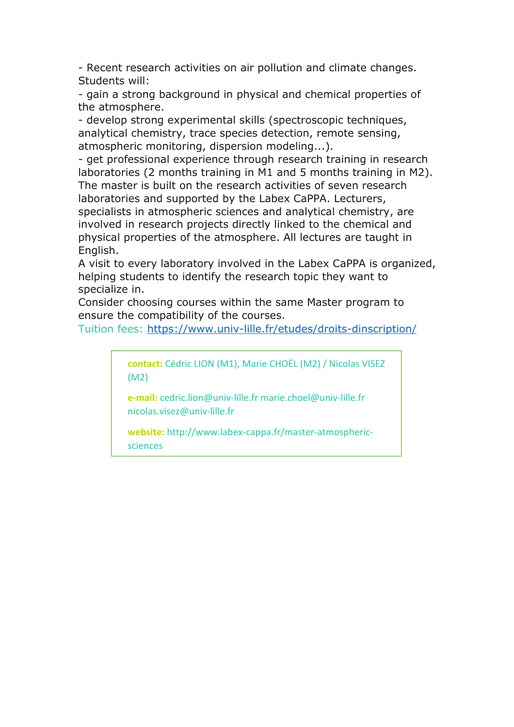- Recent research activities on air pollution and climate changes. Students will:

- gain a strong background in physical and chemical properties of the atmosphere.

- develop strong experimental skills (spectroscopic techniques, analytical chemistry, trace species detection, remote sensing, atmospheric monitoring, dispersion modeling...).

- get professional experience through research training in research laboratories (2 months training in M1 and 5 months training in M2). The master is built on the research activities of seven research laboratories and supported by the Labex CaPPA. Lecturers, specialists in atmospheric sciences and analytical chemistry, are involved in research projects directly linked to the chemical and physical properties of the atmosphere. All lectures are taught in English.

A visit to every laboratory involved in the Labex CaPPA is organized, helping students to identify the research topic they want to specialize in.

Consider choosing courses within the same Master program to ensure the compatibility of the courses.

Tuition fees: https://www.univ-lille.fr/etudes/droits-dinscription/

**contact:** Cédric LION (M1), Marie CHOËL (M2) / Nicolas VISEZ (M2)

**e-mail:** cedric.lion@univ-lille.fr marie.choel@univ-lille.fr nicolas.visez@univ-lille.fr

**website:** http://www.labex-cappa.fr/master-atmosphericsciences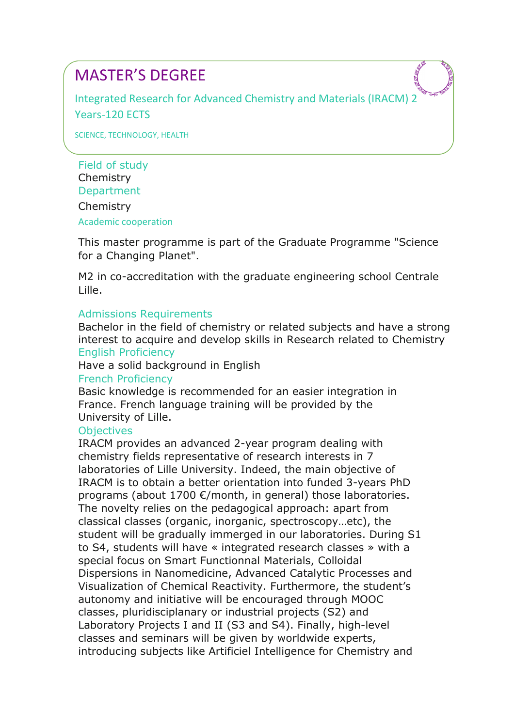Integrated Research for Advanced Chemistry and Materials (IRACM) 2 Years-120 ECTS

SCIENCE, TECHNOLOGY, HEALTH

Field of study Chemistry **Department** Chemistry Academic cooperation

This master programme is part of the Graduate Programme "Science for a Changing Planet".

M2 in co-accreditation with the graduate engineering school Centrale Lille.

#### Admissions Requirements

Bachelor in the field of chemistry or related subjects and have a strong interest to acquire and develop skills in Research related to Chemistry English Proficiency

#### Have a solid background in English

#### French Proficiency

Basic knowledge is recommended for an easier integration in France. French language training will be provided by the University of Lille.

# **Objectives**

IRACM provides an advanced 2-year program dealing with chemistry fields representative of research interests in 7 laboratories of Lille University. Indeed, the main objective of IRACM is to obtain a better orientation into funded 3-years PhD programs (about 1700 €/month, in general) those laboratories. The novelty relies on the pedagogical approach: apart from classical classes (organic, inorganic, spectroscopy…etc), the student will be gradually immerged in our laboratories. During S1 to S4, students will have « integrated research classes » with a special focus on Smart Functionnal Materials, Colloidal Dispersions in Nanomedicine, Advanced Catalytic Processes and Visualization of Chemical Reactivity. Furthermore, the student's autonomy and initiative will be encouraged through MOOC classes, pluridisciplanary or industrial projects (S2) and Laboratory Projects I and II (S3 and S4). Finally, high-level classes and seminars will be given by worldwide experts, introducing subjects like Artificiel Intelligence for Chemistry and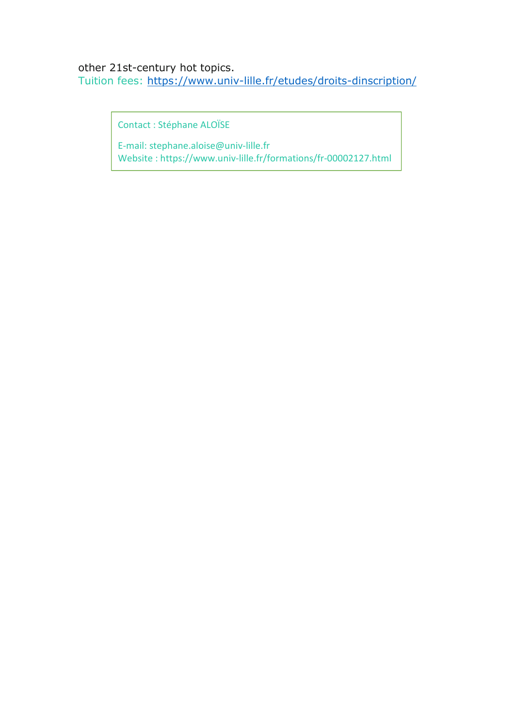# other 21st-century hot topics.

Tuition fees: https://www.univ-lille.fr/etudes/droits-dinscription/

Contact : Stéphane ALOÏSE

E-mail: stephane.aloise@univ-lille.fr Website : https://www.univ-lille.fr/formations/fr-00002127.html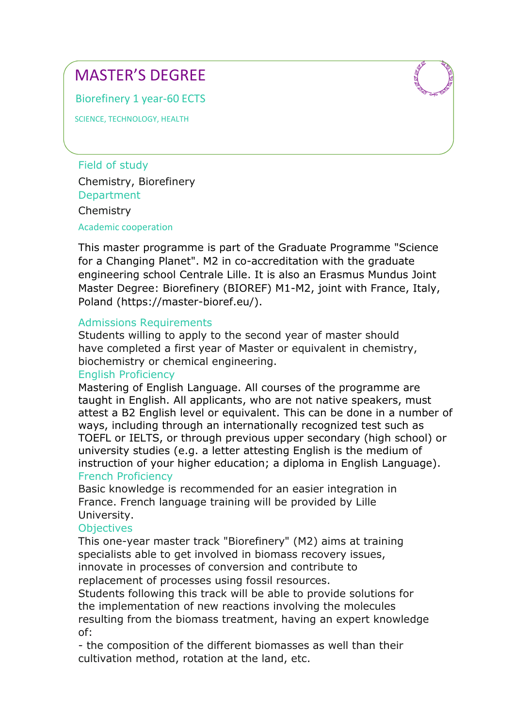Biorefinery 1 year-60 ECTS

SCIENCE, TECHNOLOGY, HEALTH

Field of study Chemistry, Biorefinery **Department Chemistry** 

Academic cooperation

This master programme is part of the Graduate Programme "Science for a Changing Planet". M2 in co-accreditation with the graduate engineering school Centrale Lille. It is also an Erasmus Mundus Joint Master Degree: Biorefinery (BIOREF) M1-M2, joint with France, Italy, Poland (https://master-bioref.eu/).

#### Admissions Requirements

Students willing to apply to the second year of master should have completed a first year of Master or equivalent in chemistry, biochemistry or chemical engineering.

# English Proficiency

Mastering of English Language. All courses of the programme are taught in English. All applicants, who are not native speakers, must attest a B2 English level or equivalent. This can be done in a number of ways, including through an internationally recognized test such as TOEFL or IELTS, or through previous upper secondary (high school) or university studies (e.g. a letter attesting English is the medium of instruction of your higher education; a diploma in English Language). French Proficiency

Basic knowledge is recommended for an easier integration in France. French language training will be provided by Lille University.

# **Objectives**

This one-year master track "Biorefinery" (M2) aims at training specialists able to get involved in biomass recovery issues, innovate in processes of conversion and contribute to replacement of processes using fossil resources.

Students following this track will be able to provide solutions for the implementation of new reactions involving the molecules resulting from the biomass treatment, having an expert knowledge of:

- the composition of the different biomasses as well than their cultivation method, rotation at the land, etc.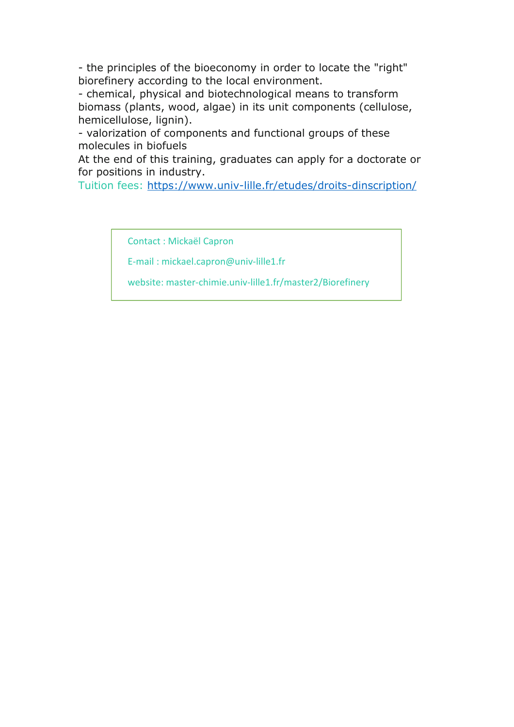- the principles of the bioeconomy in order to locate the "right" biorefinery according to the local environment.

- chemical, physical and biotechnological means to transform biomass (plants, wood, algae) in its unit components (cellulose, hemicellulose, lignin).

- valorization of components and functional groups of these molecules in biofuels

At the end of this training, graduates can apply for a doctorate or for positions in industry.

Tuition fees: https://www.univ-lille.fr/etudes/droits-dinscription/

Contact : Mickaël Capron

E-mail : mickael.capron@univ-lille1.fr

website: master-chimie.univ-lille1.fr/master2/Biorefinery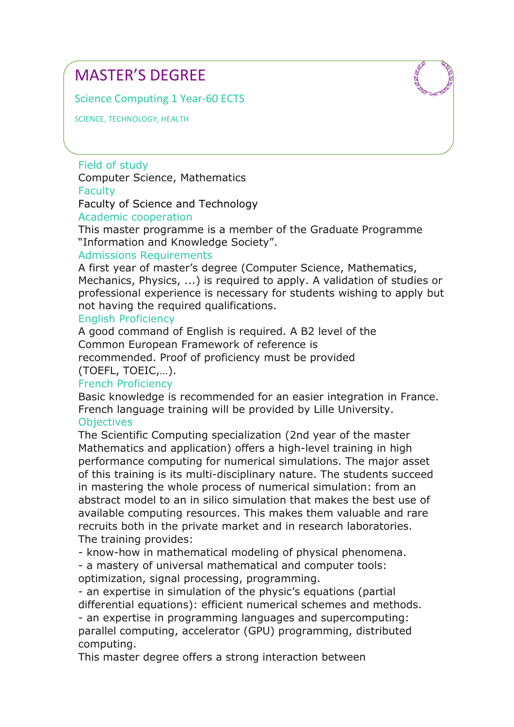Science Computing 1 Year-60 ECTS

SCIENCE, TECHNOLOGY, HEALTH

Field of study Computer Science, Mathematics **Faculty** Faculty of Science and Technology

Academic cooperation

This master programme is a member of the Graduate Programme "Information and Knowledge Society".

#### Admissions Requirements

A first year of master's degree (Computer Science, Mathematics, Mechanics, Physics, ...) is required to apply. A validation of studies or professional experience is necessary for students wishing to apply but not having the required qualifications.

#### English Proficiency

A good command of English is required. A B2 level of the Common European Framework of reference is recommended. Proof of proficiency must be provided (TOEFL, TOEIC,…).

# French Proficiency

Basic knowledge is recommended for an easier integration in France. French language training will be provided by Lille University. **Objectives** 

The Scientific Computing specialization (2nd year of the master Mathematics and application) offers a high-level training in high performance computing for numerical simulations. The major asset of this training is its multi-disciplinary nature. The students succeed in mastering the whole process of numerical simulation: from an abstract model to an in silico simulation that makes the best use of available computing resources. This makes them valuable and rare recruits both in the private market and in research laboratories. The training provides:

- know-how in mathematical modeling of physical phenomena.

- a mastery of universal mathematical and computer tools: optimization, signal processing, programming.

- an expertise in simulation of the physic's equations (partial differential equations): efficient numerical schemes and methods. - an expertise in programming languages and supercomputing: parallel computing, accelerator (GPU) programming, distributed computing.

This master degree offers a strong interaction between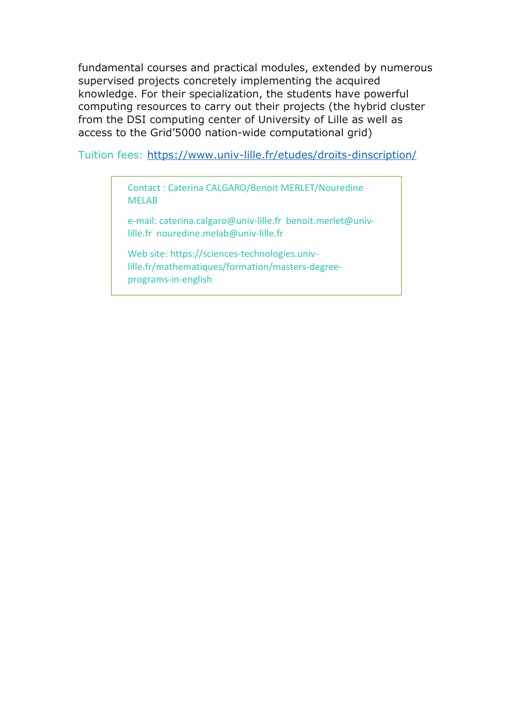fundamental courses and practical modules, extended by numerous supervised projects concretely implementing the acquired knowledge. For their specialization, the students have powerful computing resources to carry out their projects (the hybrid cluster from the DSI computing center of University of Lille as well as access to the Grid'5000 nation-wide computational grid)

Tuition fees: https://www.univ-lille.fr/etudes/droits-dinscription/

Contact : Caterina CALGARO/Benoit MERLET/Nouredine MELAB

e-mail: caterina.calgaro@univ-lille.fr benoit.merlet@univlille.fr nouredine.melab@univ-lille.fr

Web site: https://sciences-technologies.univlille.fr/mathematiques/formation/masters-degreeprograms-in-english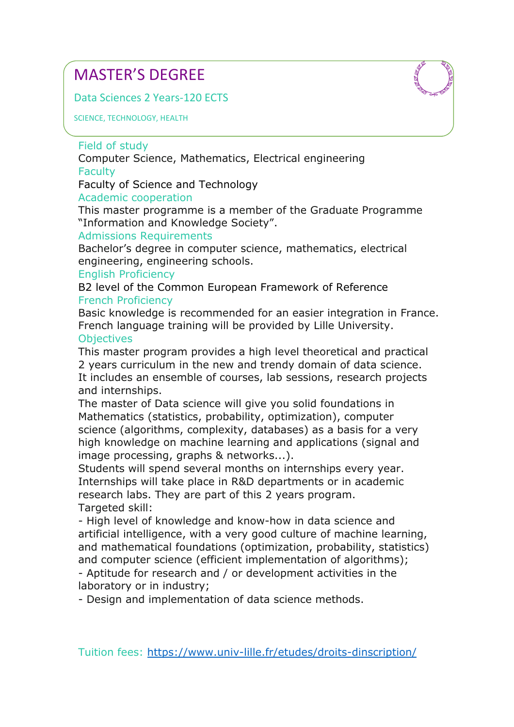Data Sciences 2 Years-120 ECTS

SCIENCE, TECHNOLOGY, HEALTH

# Field of study

Computer Science, Mathematics, Electrical engineering **Faculty** 

Faculty of Science and Technology

# Academic cooperation

This master programme is a member of the Graduate Programme "Information and Knowledge Society".

# Admissions Requirements

Bachelor's degree in computer science, mathematics, electrical engineering, engineering schools.

# English Proficiency

B2 level of the Common European Framework of Reference French Proficiency

Basic knowledge is recommended for an easier integration in France. French language training will be provided by Lille University.

#### **Objectives**

This master program provides a high level theoretical and practical 2 years curriculum in the new and trendy domain of data science. It includes an ensemble of courses, lab sessions, research projects and internships.

The master of Data science will give you solid foundations in Mathematics (statistics, probability, optimization), computer science (algorithms, complexity, databases) as a basis for a very high knowledge on machine learning and applications (signal and image processing, graphs & networks...).

Students will spend several months on internships every year. Internships will take place in R&D departments or in academic research labs. They are part of this 2 years program. Targeted skill:

- High level of knowledge and know-how in data science and artificial intelligence, with a very good culture of machine learning, and mathematical foundations (optimization, probability, statistics) and computer science (efficient implementation of algorithms); - Aptitude for research and / or development activities in the laboratory or in industry;

- Design and implementation of data science methods.

Tuition fees: https://www.univ-lille.fr/etudes/droits-dinscription/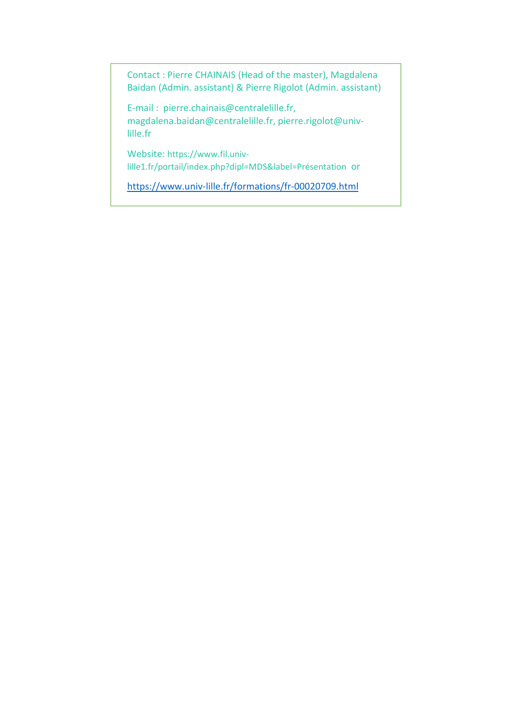Contact : Pierre CHAINAIS (Head of the master), Magdalena Baidan (Admin. assistant) & Pierre Rigolot (Admin. assistant)

E-mail : pierre.chainais@centralelille.fr, magdalena.baidan@centralelille.fr, pierre.rigolot@univlille.fr

Website: https://www.fil.univlille1.fr/portail/index.php?dipl=MDS&label=Présentation or

https://www.univ-lille.fr/formations/fr-00020709.html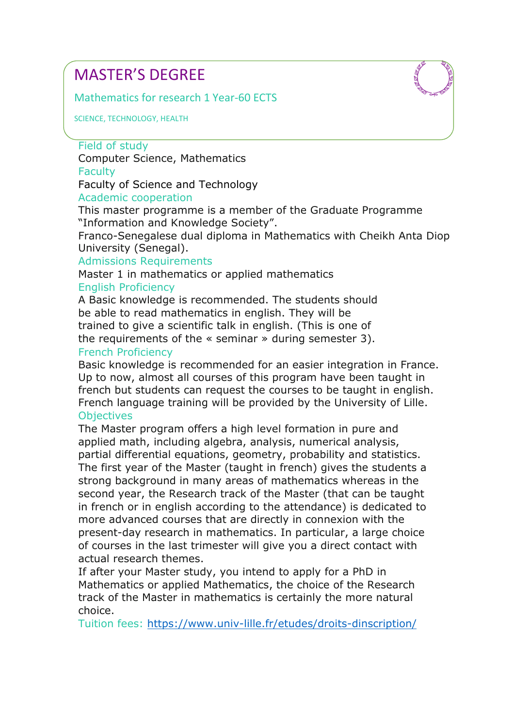Mathematics for research 1 Year-60 ECTS

SCIENCE, TECHNOLOGY, HEALTH

### Field of study

Computer Science, Mathematics **Faculty** 

Faculty of Science and Technology

# Academic cooperation

This master programme is a member of the Graduate Programme "Information and Knowledge Society".

Franco-Senegalese dual diploma in Mathematics with Cheikh Anta Diop University (Senegal).

#### Admissions Requirements

Master 1 in mathematics or applied mathematics English Proficiency

A Basic knowledge is recommended. The students should be able to read mathematics in english. They will be trained to give a scientific talk in english. (This is one of the requirements of the « seminar » during semester 3).

#### French Proficiency

Basic knowledge is recommended for an easier integration in France. Up to now, almost all courses of this program have been taught in french but students can request the courses to be taught in english. French language training will be provided by the University of Lille. **Objectives** 

The Master program offers a high level formation in pure and applied math, including algebra, analysis, numerical analysis, partial differential equations, geometry, probability and statistics. The first year of the Master (taught in french) gives the students a strong background in many areas of mathematics whereas in the second year, the Research track of the Master (that can be taught in french or in english according to the attendance) is dedicated to more advanced courses that are directly in connexion with the present-day research in mathematics. In particular, a large choice of courses in the last trimester will give you a direct contact with actual research themes.

If after your Master study, you intend to apply for a PhD in Mathematics or applied Mathematics, the choice of the Research track of the Master in mathematics is certainly the more natural choice.

Tuition fees: https://www.univ-lille.fr/etudes/droits-dinscription/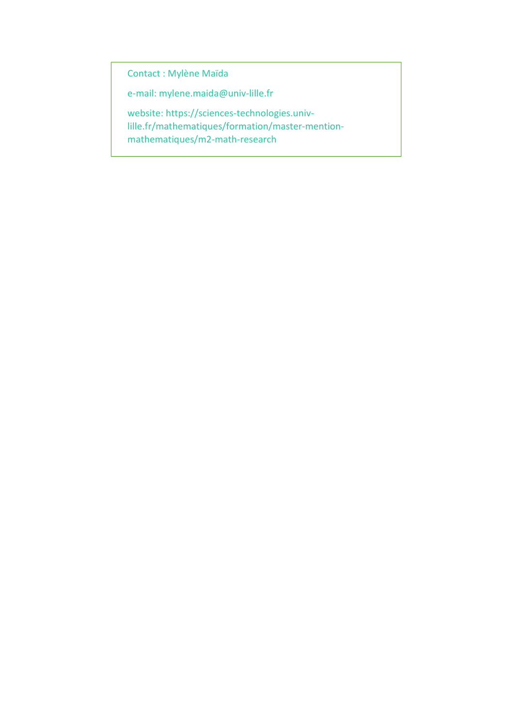Contact : Mylène Maïda

e-mail: mylene.maida@univ-lille.fr

website: https://sciences-technologies.univlille.fr/mathematiques/formation/master-mentionmathematiques/m2-math-research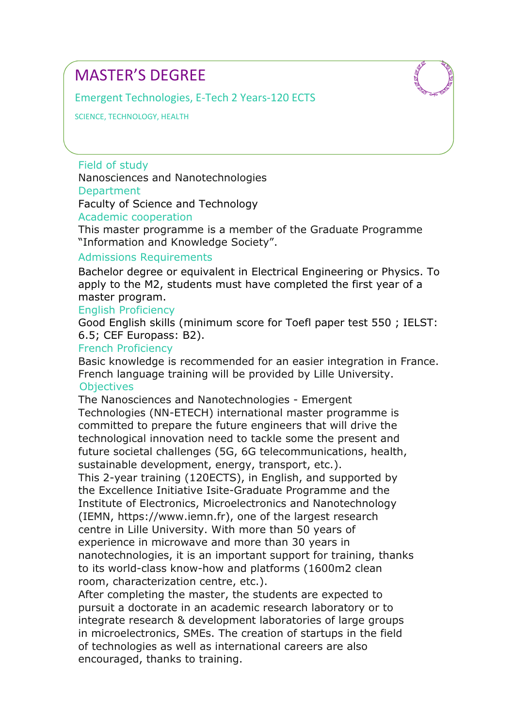Emergent Technologies, E-Tech 2 Years-120 ECTS

SCIENCE, TECHNOLOGY, HEALTH

Field of study Nanosciences and Nanotechnologies **Department** Faculty of Science and Technology

Academic cooperation

This master programme is a member of the Graduate Programme "Information and Knowledge Society".

#### Admissions Requirements

Bachelor degree or equivalent in Electrical Engineering or Physics. To apply to the M2, students must have completed the first year of a master program.

#### English Proficiency

Good English skills (minimum score for Toefl paper test 550 ; IELST: 6.5; CEF Europass: B2).

#### French Proficiency

Basic knowledge is recommended for an easier integration in France. French language training will be provided by Lille University. **Objectives** 

The Nanosciences and Nanotechnologies - Emergent Technologies (NN-ETECH) international master programme is committed to prepare the future engineers that will drive the technological innovation need to tackle some the present and future societal challenges (5G, 6G telecommunications, health, sustainable development, energy, transport, etc.).

This 2-year training (120ECTS), in English, and supported by the Excellence Initiative Isite-Graduate Programme and the Institute of Electronics, Microelectronics and Nanotechnology (IEMN, https://www.iemn.fr), one of the largest research centre in Lille University. With more than 50 years of experience in microwave and more than 30 years in nanotechnologies, it is an important support for training, thanks to its world-class know-how and platforms (1600m2 clean room, characterization centre, etc.).

After completing the master, the students are expected to pursuit a doctorate in an academic research laboratory or to integrate research & development laboratories of large groups in microelectronics, SMEs. The creation of startups in the field of technologies as well as international careers are also encouraged, thanks to training.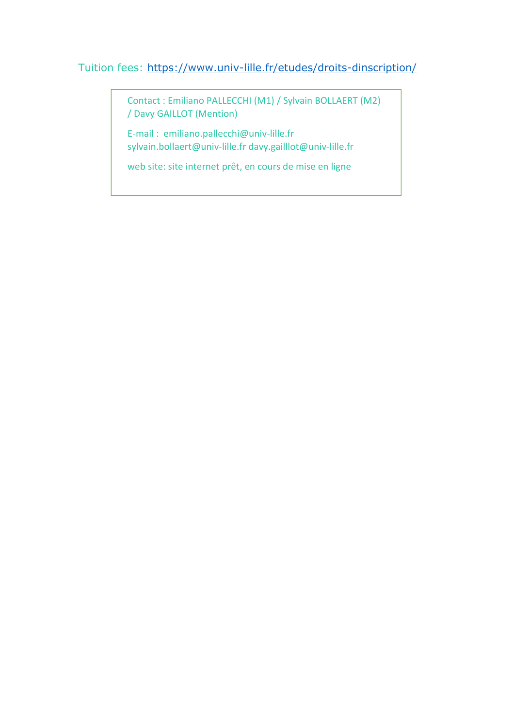# Tuition fees: https://www.univ-lille.fr/etudes/droits-dinscription/

Contact : Emiliano PALLECCHI (M1) / Sylvain BOLLAERT (M2) / Davy GAILLOT (Mention)

E-mail : emiliano.pallecchi@univ-lille.fr sylvain.bollaert@univ-lille.fr davy.gailllot@univ-lille.fr

web site: site internet prêt, en cours de mise en ligne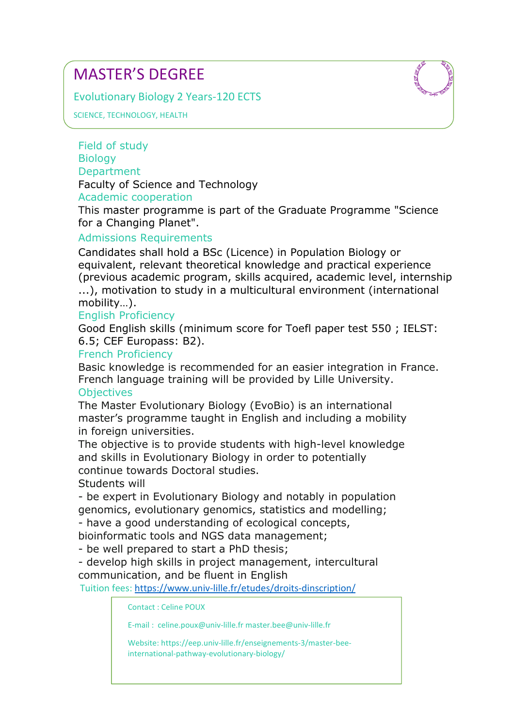Evolutionary Biology 2 Years-120 ECTS



SCIENCE, TECHNOLOGY, HEALTH

Field of study **Biology Department** 

Faculty of Science and Technology

# Academic cooperation

This master programme is part of the Graduate Programme "Science for a Changing Planet".

# Admissions Requirements

Candidates shall hold a BSc (Licence) in Population Biology or equivalent, relevant theoretical knowledge and practical experience (previous academic program, skills acquired, academic level, internship ...), motivation to study in a multicultural environment (international mobility…).

# English Proficiency

Good English skills (minimum score for Toefl paper test 550 ; IELST: 6.5; CEF Europass: B2).

# French Proficiency

Basic knowledge is recommended for an easier integration in France. French language training will be provided by Lille University. **Objectives** 

The Master Evolutionary Biology (EvoBio) is an international master's programme taught in English and including a mobility in foreign universities.

The objective is to provide students with high-level knowledge and skills in Evolutionary Biology in order to potentially continue towards Doctoral studies.

Students will

- be expert in Evolutionary Biology and notably in population genomics, evolutionary genomics, statistics and modelling;

- have a good understanding of ecological concepts,

bioinformatic tools and NGS data management;

- be well prepared to start a PhD thesis;

- develop high skills in project management, intercultural communication, and be fluent in English

Tuition fees: https://www.univ-lille.fr/etudes/droits-dinscription/

Contact : Celine POUX

E-mail : celine.poux@univ-lille.fr master.bee@univ-lille.fr

Website: https://eep.univ-lille.fr/enseignements-3/master-beeinternational-pathway-evolutionary-biology/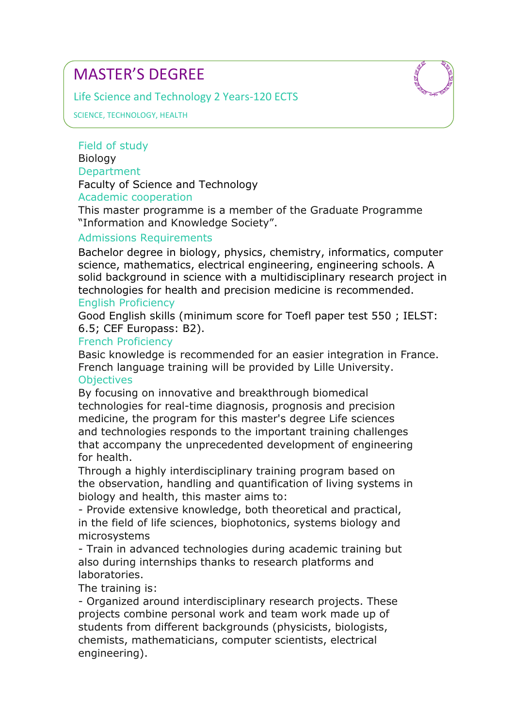Life Science and Technology 2 Years-120 ECTS



SCIENCE, TECHNOLOGY, HEALTH

Field of study **Biology Department** 

Faculty of Science and Technology

# Academic cooperation

This master programme is a member of the Graduate Programme "Information and Knowledge Society".

# Admissions Requirements

Bachelor degree in biology, physics, chemistry, informatics, computer science, mathematics, electrical engineering, engineering schools. A solid background in science with a multidisciplinary research project in technologies for health and precision medicine is recommended. English Proficiency

Good English skills (minimum score for Toefl paper test 550 ; IELST: 6.5; CEF Europass: B2).

# French Proficiency

Basic knowledge is recommended for an easier integration in France. French language training will be provided by Lille University. **Objectives** 

By focusing on innovative and breakthrough biomedical technologies for real-time diagnosis, prognosis and precision medicine, the program for this master's degree Life sciences and technologies responds to the important training challenges that accompany the unprecedented development of engineering for health.

Through a highly interdisciplinary training program based on the observation, handling and quantification of living systems in biology and health, this master aims to:

- Provide extensive knowledge, both theoretical and practical, in the field of life sciences, biophotonics, systems biology and microsystems

- Train in advanced technologies during academic training but also during internships thanks to research platforms and laboratories.

The training is:

- Organized around interdisciplinary research projects. These projects combine personal work and team work made up of students from different backgrounds (physicists, biologists, chemists, mathematicians, computer scientists, electrical engineering).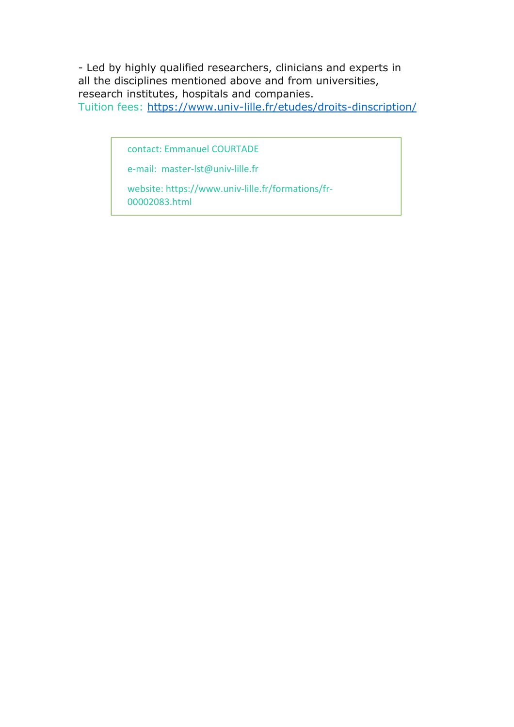- Led by highly qualified researchers, clinicians and experts in all the disciplines mentioned above and from universities, research institutes, hospitals and companies. Tuition fees: https://www.univ-lille.fr/etudes/droits-dinscription/

contact: Emmanuel COURTADE

e-mail: master-lst@univ-lille.fr

website: https://www.univ-lille.fr/formations/fr-00002083.html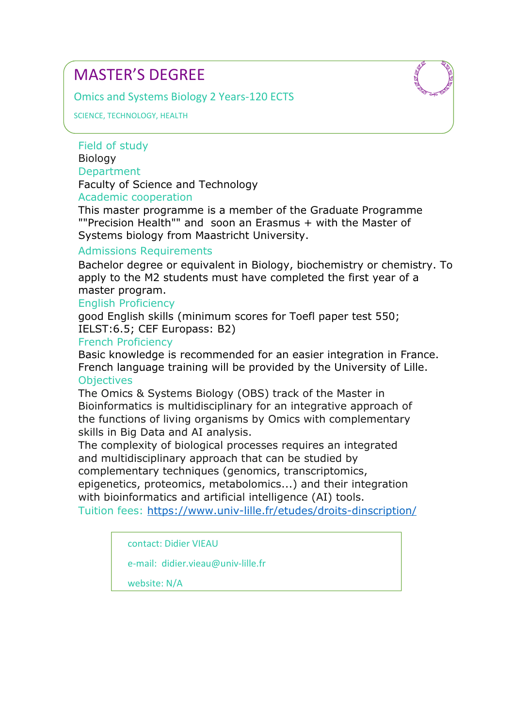Omics and Systems Biology 2 Years-120 ECTS

SCIENCE, TECHNOLOGY, HEALTH

# Field of study **Biology**

# **Department**

Faculty of Science and Technology

# Academic cooperation

This master programme is a member of the Graduate Programme ""Precision Health"" and soon an Erasmus + with the Master of Systems biology from Maastricht University.

# Admissions Requirements

Bachelor degree or equivalent in Biology, biochemistry or chemistry. To apply to the M2 students must have completed the first year of a master program.

# English Proficiency

good English skills (minimum scores for Toefl paper test 550; IELST:6.5; CEF Europass: B2)

# French Proficiency

Basic knowledge is recommended for an easier integration in France. French language training will be provided by the University of Lille. **Objectives** 

The Omics & Systems Biology (OBS) track of the Master in Bioinformatics is multidisciplinary for an integrative approach of the functions of living organisms by Omics with complementary skills in Big Data and AI analysis.

The complexity of biological processes requires an integrated and multidisciplinary approach that can be studied by complementary techniques (genomics, transcriptomics, epigenetics, proteomics, metabolomics...) and their integration with bioinformatics and artificial intelligence (AI) tools.

Tuition fees: https://www.univ-lille.fr/etudes/droits-dinscription/

contact: Didier VIEAU

e-mail: didier.vieau@univ-lille.fr

website: N/A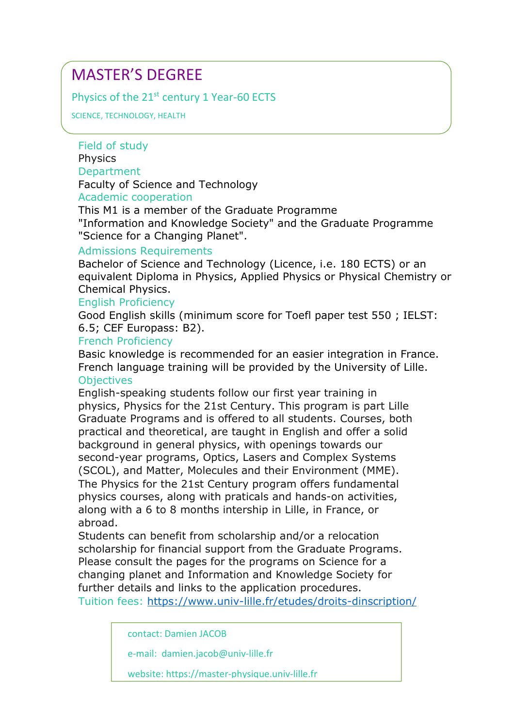Physics of the 21<sup>st</sup> century 1 Year-60 ECTS

SCIENCE, TECHNOLOGY, HEALTH

Field of study **Physics Department** 

Faculty of Science and Technology

# Academic cooperation

This M1 is a member of the Graduate Programme "Information and Knowledge Society" and the Graduate Programme "Science for a Changing Planet".

# Admissions Requirements

Bachelor of Science and Technology (Licence, i.e. 180 ECTS) or an equivalent Diploma in Physics, Applied Physics or Physical Chemistry or Chemical Physics.

# English Proficiency

Good English skills (minimum score for Toefl paper test 550 ; IELST: 6.5; CEF Europass: B2).

#### French Proficiency

Basic knowledge is recommended for an easier integration in France. French language training will be provided by the University of Lille. **Objectives** 

English-speaking students follow our first year training in physics, Physics for the 21st Century. This program is part Lille Graduate Programs and is offered to all students. Courses, both practical and theoretical, are taught in English and offer a solid background in general physics, with openings towards our second-year programs, Optics, Lasers and Complex Systems (SCOL), and Matter, Molecules and their Environment (MME). The Physics for the 21st Century program offers fundamental physics courses, along with praticals and hands-on activities, along with a 6 to 8 months intership in Lille, in France, or abroad.

Students can benefit from scholarship and/or a relocation scholarship for financial support from the Graduate Programs. Please consult the pages for the programs on Science for a changing planet and Information and Knowledge Society for further details and links to the application procedures.

Tuition fees: https://www.univ-lille.fr/etudes/droits-dinscription/

contact: Damien JACOB

e-mail: damien.jacob@univ-lille.fr

website: https://master-physique.univ-lille.fr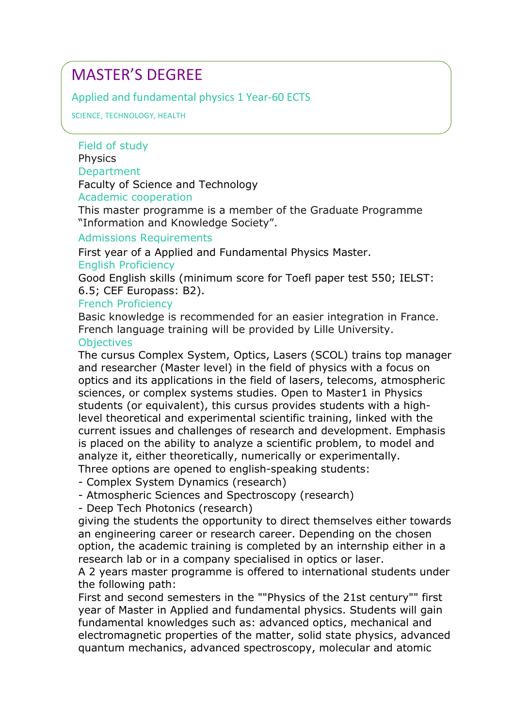# Applied and fundamental physics 1 Year-60 ECTS

SCIENCE, TECHNOLOGY, HEALTH

# Field of study **Physics**

#### Department

Faculty of Science and Technology

#### Academic cooperation

This master programme is a member of the Graduate Programme "Information and Knowledge Society".

#### Admissions Requirements

First year of a Applied and Fundamental Physics Master.

# English Proficiency

Good English skills (minimum score for Toefl paper test 550; IELST: 6.5; CEF Europass: B2).

#### French Proficiency

Basic knowledge is recommended for an easier integration in France. French language training will be provided by Lille University.

#### **Objectives**

The cursus Complex System, Optics, Lasers (SCOL) trains top manager and researcher (Master level) in the field of physics with a focus on optics and its applications in the field of lasers, telecoms, atmospheric sciences, or complex systems studies. Open to Master1 in Physics students (or equivalent), this cursus provides students with a highlevel theoretical and experimental scientific training, linked with the current issues and challenges of research and development. Emphasis is placed on the ability to analyze a scientific problem, to model and analyze it, either theoretically, numerically or experimentally. Three options are opened to english-speaking students:

- Complex System Dynamics (research)

- Atmospheric Sciences and Spectroscopy (research)

- Deep Tech Photonics (research)

giving the students the opportunity to direct themselves either towards an engineering career or research career. Depending on the chosen option, the academic training is completed by an internship either in a research lab or in a company specialised in optics or laser.

A 2 years master programme is offered to international students under the following path:

First and second semesters in the ""Physics of the 21st century"" first year of Master in Applied and fundamental physics. Students will gain fundamental knowledges such as: advanced optics, mechanical and electromagnetic properties of the matter, solid state physics, advanced quantum mechanics, advanced spectroscopy, molecular and atomic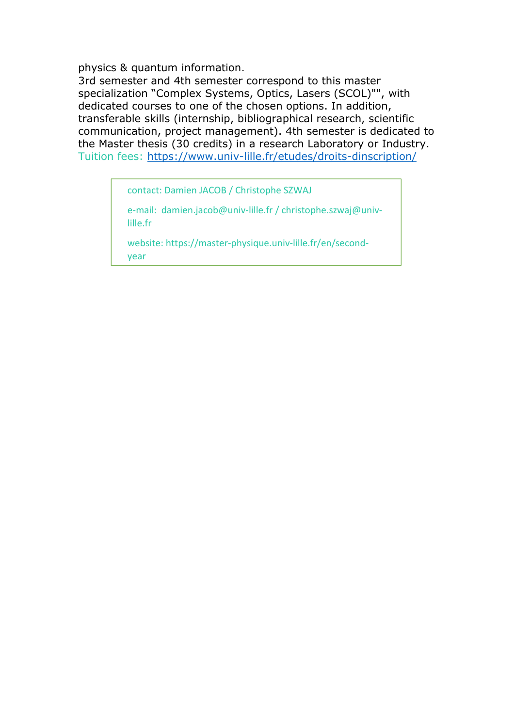physics & quantum information.

3rd semester and 4th semester correspond to this master specialization "Complex Systems, Optics, Lasers (SCOL)"", with dedicated courses to one of the chosen options. In addition, transferable skills (internship, bibliographical research, scientific communication, project management). 4th semester is dedicated to the Master thesis (30 credits) in a research Laboratory or Industry. Tuition fees: https://www.univ-lille.fr/etudes/droits-dinscription/

contact: Damien JACOB / Christophe SZWAJ

e-mail: damien.jacob@univ-lille.fr / christophe.szwaj@univlille.fr

website: https://master-physique.univ-lille.fr/en/secondyear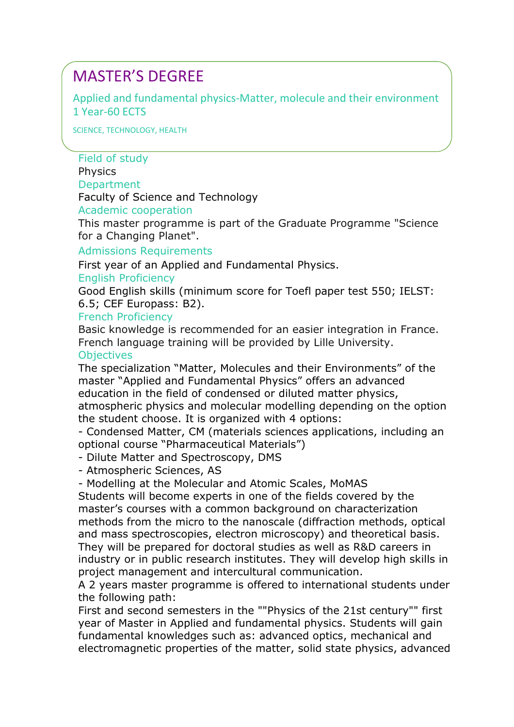Applied and fundamental physics-Matter, molecule and their environment 1 Year-60 ECTS

SCIENCE, TECHNOLOGY, HEALTH

#### Field of study

#### **Physics**

#### **Department**

Faculty of Science and Technology

Academic cooperation

This master programme is part of the Graduate Programme "Science for a Changing Planet".

#### Admissions Requirements

First year of an Applied and Fundamental Physics.

#### English Proficiency

Good English skills (minimum score for Toefl paper test 550; IELST: 6.5; CEF Europass: B2).

#### French Proficiency

Basic knowledge is recommended for an easier integration in France. French language training will be provided by Lille University.

# **Objectives**

The specialization "Matter, Molecules and their Environments" of the master "Applied and Fundamental Physics" offers an advanced education in the field of condensed or diluted matter physics, atmospheric physics and molecular modelling depending on the option the student choose. It is organized with 4 options:

- Condensed Matter, CM (materials sciences applications, including an optional course "Pharmaceutical Materials")

- Dilute Matter and Spectroscopy, DMS

- Atmospheric Sciences, AS

- Modelling at the Molecular and Atomic Scales, MoMAS

Students will become experts in one of the fields covered by the master's courses with a common background on characterization methods from the micro to the nanoscale (diffraction methods, optical and mass spectroscopies, electron microscopy) and theoretical basis. They will be prepared for doctoral studies as well as R&D careers in industry or in public research institutes. They will develop high skills in project management and intercultural communication.

A 2 years master programme is offered to international students under the following path:

First and second semesters in the ""Physics of the 21st century"" first year of Master in Applied and fundamental physics. Students will gain fundamental knowledges such as: advanced optics, mechanical and electromagnetic properties of the matter, solid state physics, advanced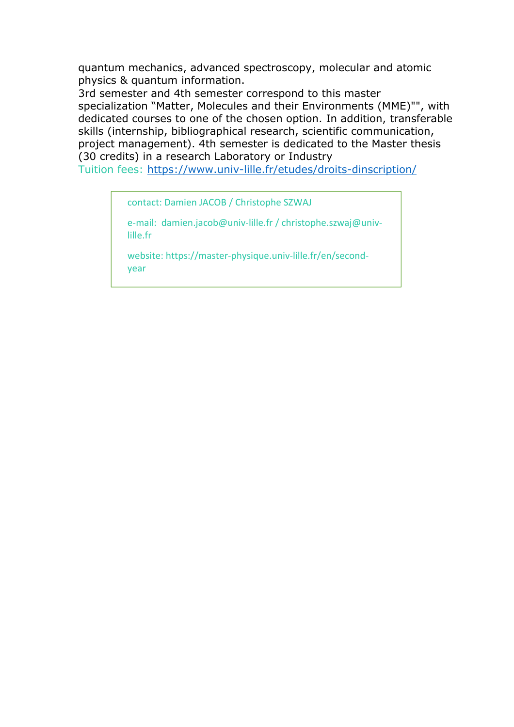quantum mechanics, advanced spectroscopy, molecular and atomic physics & quantum information.

3rd semester and 4th semester correspond to this master specialization "Matter, Molecules and their Environments (MME)"", with dedicated courses to one of the chosen option. In addition, transferable skills (internship, bibliographical research, scientific communication, project management). 4th semester is dedicated to the Master thesis (30 credits) in a research Laboratory or Industry

Tuition fees: https://www.univ-lille.fr/etudes/droits-dinscription/

contact: Damien JACOB / Christophe SZWAJ

e-mail: damien.jacob@univ-lille.fr / christophe.szwaj@univlille.fr

website: https://master-physique.univ-lille.fr/en/secondyear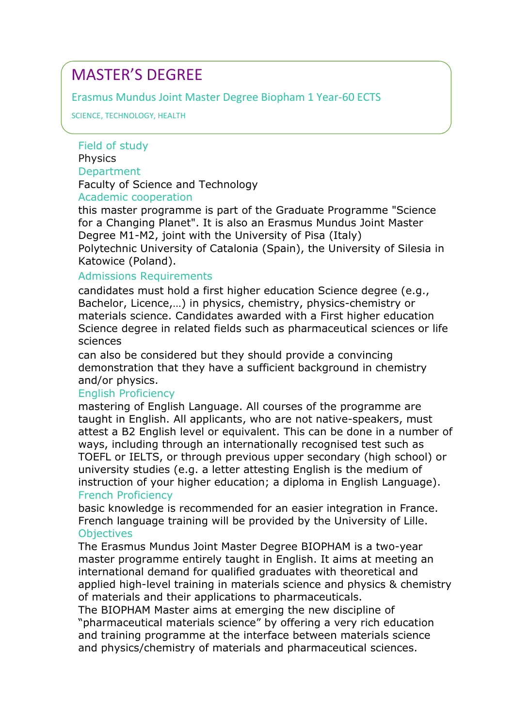# Erasmus Mundus Joint Master Degree Biopham 1 Year-60 ECTS

SCIENCE, TECHNOLOGY, HEALTH

# Field of study **Physics Department** Faculty of Science and Technology Academic cooperation

this master programme is part of the Graduate Programme "Science for a Changing Planet". It is also an Erasmus Mundus Joint Master Degree M1-M2, joint with the University of Pisa (Italy) Polytechnic University of Catalonia (Spain), the University of Silesia in Katowice (Poland).

# Admissions Requirements

candidates must hold a first higher education Science degree (e.g., Bachelor, Licence,…) in physics, chemistry, physics-chemistry or materials science. Candidates awarded with a First higher education Science degree in related fields such as pharmaceutical sciences or life sciences

can also be considered but they should provide a convincing demonstration that they have a sufficient background in chemistry and/or physics.

# English Proficiency

mastering of English Language. All courses of the programme are taught in English. All applicants, who are not native-speakers, must attest a B2 English level or equivalent. This can be done in a number of ways, including through an internationally recognised test such as TOEFL or IELTS, or through previous upper secondary (high school) or university studies (e.g. a letter attesting English is the medium of instruction of your higher education; a diploma in English Language). French Proficiency

basic knowledge is recommended for an easier integration in France. French language training will be provided by the University of Lille. **Objectives** 

The Erasmus Mundus Joint Master Degree BIOPHAM is a two-year master programme entirely taught in English. It aims at meeting an international demand for qualified graduates with theoretical and applied high-level training in materials science and physics & chemistry of materials and their applications to pharmaceuticals.

The BIOPHAM Master aims at emerging the new discipline of "pharmaceutical materials science" by offering a very rich education and training programme at the interface between materials science and physics/chemistry of materials and pharmaceutical sciences.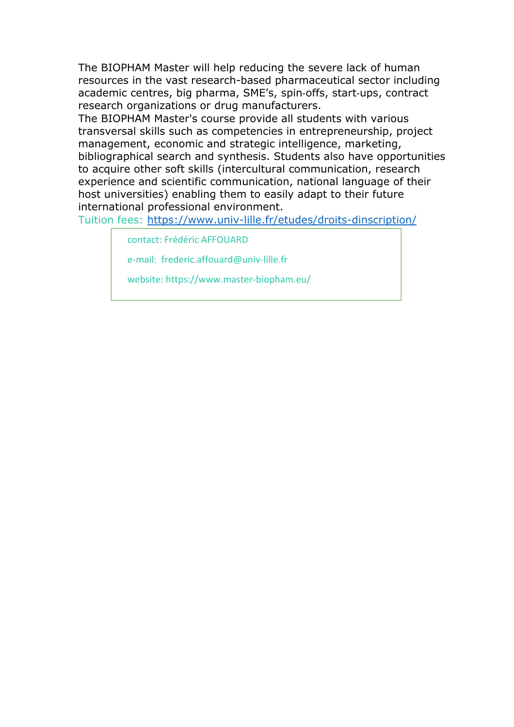The BIOPHAM Master will help reducing the severe lack of human resources in the vast research-based pharmaceutical sector including academic centres, big pharma, SME's, spin‐offs, start‐ups, contract research organizations or drug manufacturers.

The BIOPHAM Master's course provide all students with various transversal skills such as competencies in entrepreneurship, project management, economic and strategic intelligence, marketing, bibliographical search and synthesis. Students also have opportunities to acquire other soft skills (intercultural communication, research experience and scientific communication, national language of their host universities) enabling them to easily adapt to their future international professional environment.

Tuition fees: https://www.univ-lille.fr/etudes/droits-dinscription/

contact: Frédéric AFFOUARD

e-mail: frederic.affouard@univ-lille.fr

website: https://www.master-biopham.eu/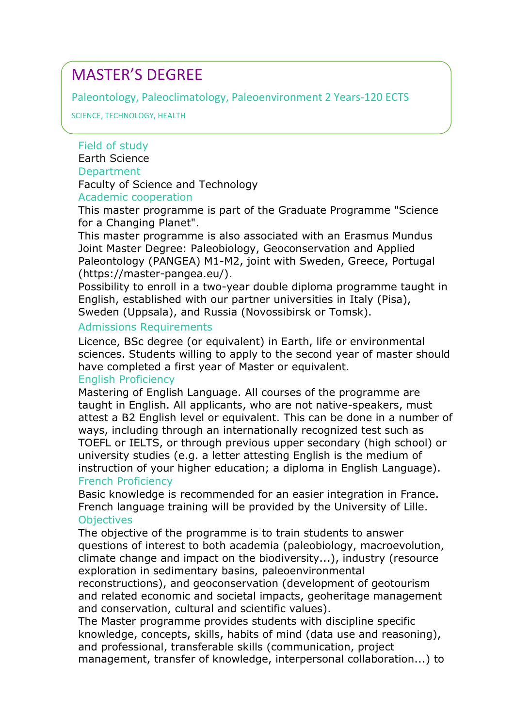Paleontology, Paleoclimatology, Paleoenvironment 2 Years-120 ECTS

SCIENCE, TECHNOLOGY, HEALTH

# Field of study

Earth Science **Department** Faculty of Science and Technology

# Academic cooperation

This master programme is part of the Graduate Programme "Science for a Changing Planet".

This master programme is also associated with an Erasmus Mundus Joint Master Degree: Paleobiology, Geoconservation and Applied Paleontology (PANGEA) M1-M2, joint with Sweden, Greece, Portugal (https://master-pangea.eu/).

Possibility to enroll in a two-year double diploma programme taught in English, established with our partner universities in Italy (Pisa), Sweden (Uppsala), and Russia (Novossibirsk or Tomsk).

# Admissions Requirements

Licence, BSc degree (or equivalent) in Earth, life or environmental sciences. Students willing to apply to the second year of master should have completed a first year of Master or equivalent.

# English Proficiency

Mastering of English Language. All courses of the programme are taught in English. All applicants, who are not native-speakers, must attest a B2 English level or equivalent. This can be done in a number of ways, including through an internationally recognized test such as TOEFL or IELTS, or through previous upper secondary (high school) or university studies (e.g. a letter attesting English is the medium of instruction of your higher education; a diploma in English Language). French Proficiency

Basic knowledge is recommended for an easier integration in France. French language training will be provided by the University of Lille. **Objectives** 

The obiective of the programme is to train students to answer questions of interest to both academia (paleobiology, macroevolution, climate change and impact on the biodiversity...), industry (resource exploration in sedimentary basins, paleoenvironmental

reconstructions), and geoconservation (development of geotourism and related economic and societal impacts, geoheritage management and conservation, cultural and scientific values).

The Master programme provides students with discipline specific knowledge, concepts, skills, habits of mind (data use and reasoning), and professional, transferable skills (communication, project management, transfer of knowledge, interpersonal collaboration...) to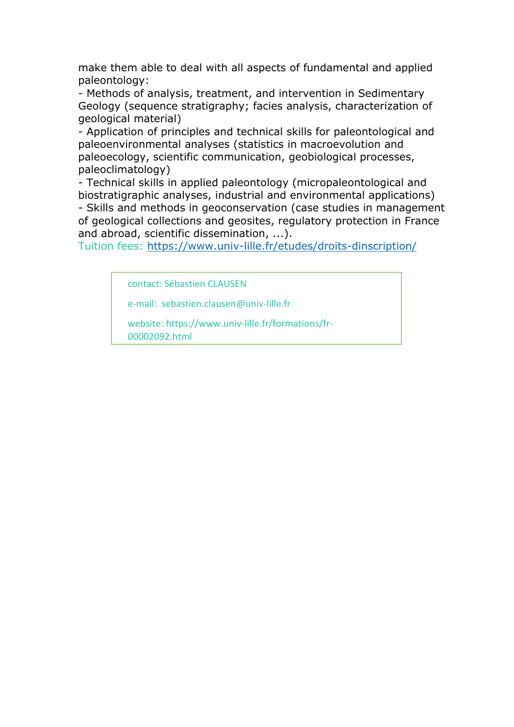make them able to deal with all aspects of fundamental and applied paleontology:

- Methods of analysis, treatment, and intervention in Sedimentary Geology (sequence stratigraphy; facies analysis, characterization of geological material)

- Application of principles and technical skills for paleontological and paleoenvironmental analyses (statistics in macroevolution and paleoecology, scientific communication, geobiological processes, paleoclimatology)

- Technical skills in applied paleontology (micropaleontological and biostratigraphic analyses, industrial and environmental applications) - Skills and methods in geoconservation (case studies in management of geological collections and geosites, regulatory protection in France and abroad, scientific dissemination, ...).

Tuition fees: https://www.univ-lille.fr/etudes/droits-dinscription/

contact: Sébastien CLAUSEN

e-mail: sebastien.clausen@univ-lille.fr

website: https://www.univ-lille.fr/formations/fr-00002092.html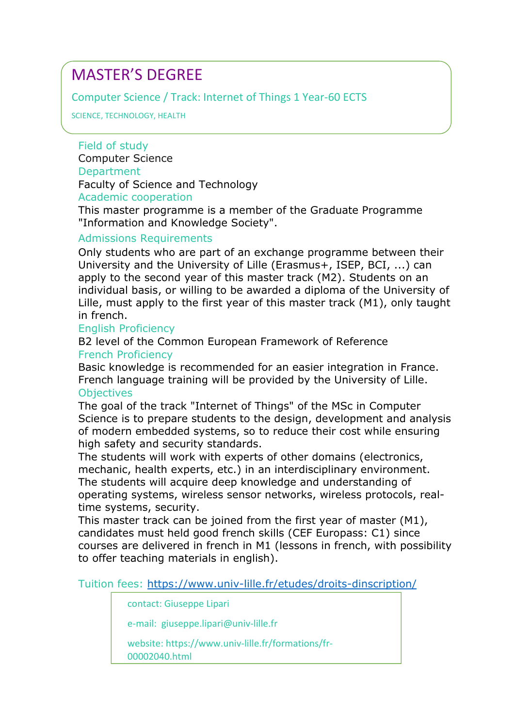# Computer Science / Track: Internet of Things 1 Year-60 ECTS

SCIENCE, TECHNOLOGY, HEALTH

Field of study

Computer Science **Department** Faculty of Science and Technology Academic cooperation

This master programme is a member of the Graduate Programme "Information and Knowledge Society".

# Admissions Requirements

Only students who are part of an exchange programme between their University and the University of Lille (Erasmus+, ISEP, BCI, ...) can apply to the second year of this master track (M2). Students on an individual basis, or willing to be awarded a diploma of the University of Lille, must apply to the first year of this master track (M1), only taught in french.

# English Proficiency

B2 level of the Common European Framework of Reference French Proficiency

Basic knowledge is recommended for an easier integration in France. French language training will be provided by the University of Lille. **Objectives** 

The goal of the track "Internet of Things" of the MSc in Computer Science is to prepare students to the design, development and analysis of modern embedded systems, so to reduce their cost while ensuring high safety and security standards.

The students will work with experts of other domains (electronics, mechanic, health experts, etc.) in an interdisciplinary environment. The students will acquire deep knowledge and understanding of operating systems, wireless sensor networks, wireless protocols, realtime systems, security.

This master track can be joined from the first year of master (M1), candidates must held good french skills (CEF Europass: C1) since courses are delivered in french in M1 (lessons in french, with possibility to offer teaching materials in english).

Tuition fees: https://www.univ-lille.fr/etudes/droits-dinscription/

contact: Giuseppe Lipari

e-mail: giuseppe.lipari@univ-lille.fr

website: https://www.univ-lille.fr/formations/fr-00002040.html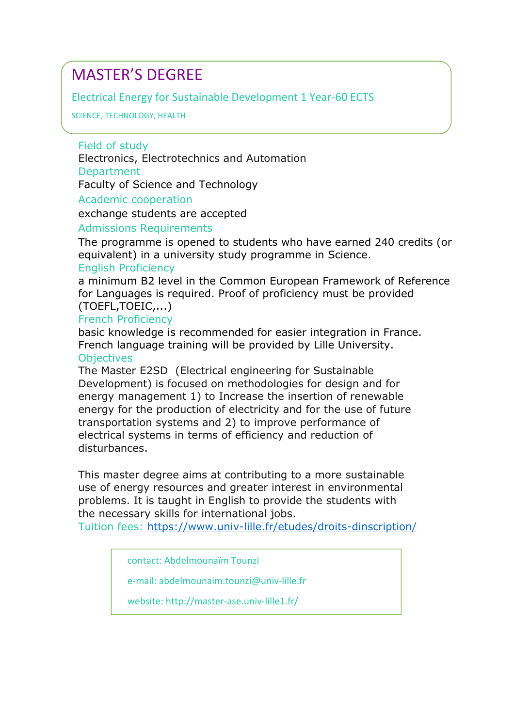Electrical Energy for Sustainable Development 1 Year-60 ECTS

SCIENCE, TECHNOLOGY, HEALTH

Field of study

Electronics, Electrotechnics and Automation

**Department** 

Faculty of Science and Technology

Academic cooperation

exchange students are accepted

Admissions Requirements

The programme is opened to students who have earned 240 credits (or equivalent) in a university study programme in Science. English Proficiency

a minimum B2 level in the Common European Framework of Reference for Languages is required. Proof of proficiency must be provided (TOEFL,TOEIC,...)

# French Proficiency

basic knowledge is recommended for easier integration in France. French language training will be provided by Lille University.

# **Objectives**

The Master E2SD (Electrical engineering for Sustainable Development) is focused on methodologies for design and for energy management 1) to Increase the insertion of renewable energy for the production of electricity and for the use of future transportation systems and 2) to improve performance of electrical systems in terms of efficiency and reduction of disturbances.

This master degree aims at contributing to a more sustainable use of energy resources and greater interest in environmental problems. It is taught in English to provide the students with the necessary skills for international jobs.

Tuition fees: https://www.univ-lille.fr/etudes/droits-dinscription/

contact: Abdelmounaïm Tounzi

e-mail: abdelmounaim.tounzi@univ-lille.fr

website: http://master-ase.univ-lille1.fr/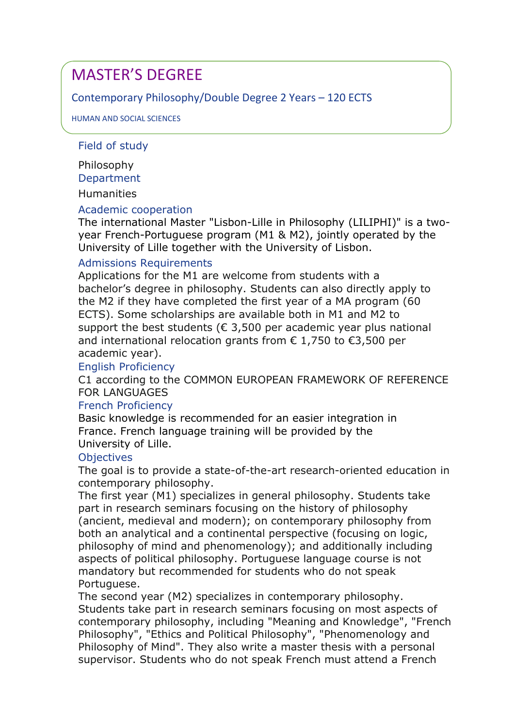# Contemporary Philosophy/Double Degree 2 Years – 120 ECTS

HUMAN AND SOCIAL SCIENCES

# Field of study

Philosophy **Department** 

Humanities

# Academic cooperation

The international Master "Lisbon-Lille in Philosophy (LILIPHI)" is a twoyear French-Portuguese program (M1 & M2), jointly operated by the University of Lille together with the University of Lisbon.

# Admissions Requirements

Applications for the M1 are welcome from students with a bachelor's degree in philosophy. Students can also directly apply to the M2 if they have completed the first year of a MA program (60 ECTS). Some scholarships are available both in M1 and M2 to support the best students ( $\epsilon$  3,500 per academic year plus national and international relocation grants from € 1,750 to €3,500 per academic year).

# English Proficiency

C1 according to the COMMON EUROPEAN FRAMEWORK OF REFERENCE FOR LANGUAGES

# French Proficiency

Basic knowledge is recommended for an easier integration in France. French language training will be provided by the University of Lille.

# **Objectives**

The goal is to provide a state-of-the-art research-oriented education in contemporary philosophy.

The first year (M1) specializes in general philosophy. Students take part in research seminars focusing on the history of philosophy (ancient, medieval and modern); on contemporary philosophy from both an analytical and a continental perspective (focusing on logic, philosophy of mind and phenomenology); and additionally including aspects of political philosophy. Portuguese language course is not mandatory but recommended for students who do not speak Portuguese.

The second year (M2) specializes in contemporary philosophy. Students take part in research seminars focusing on most aspects of contemporary philosophy, including "Meaning and Knowledge", "French Philosophy", "Ethics and Political Philosophy", "Phenomenology and Philosophy of Mind". They also write a master thesis with a personal supervisor. Students who do not speak French must attend a French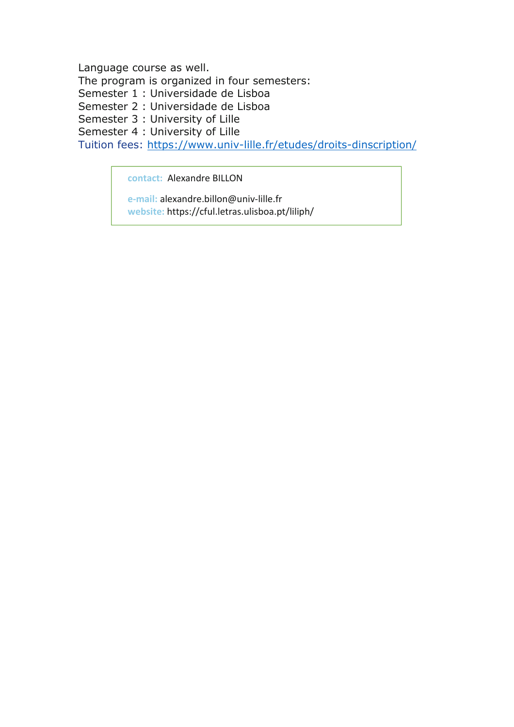Language course as well. The program is organized in four semesters: Semester 1 : Universidade de Lisboa Semester 2 : Universidade de Lisboa Semester 3 : University of Lille Semester 4 : University of Lille Tuition fees: https://www.univ-lille.fr/etudes/droits-dinscription/

**contact:** Alexandre BILLON

**e-mail:** alexandre.billon@univ-lille.fr **website:** https://cful.letras.ulisboa.pt/liliph/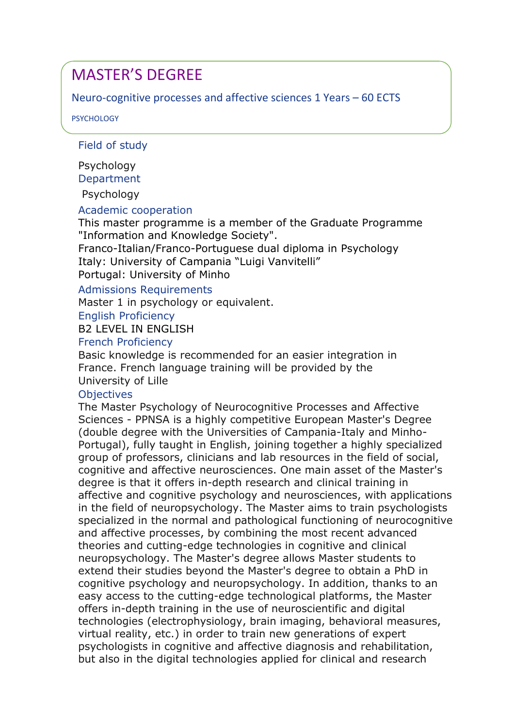# Neuro-cognitive processes and affective sciences 1 Years – 60 ECTS

PSYCHOLOGY

# Field of study

Psychology

**Department** 

Psychology

Academic cooperation

This master programme is a member of the Graduate Programme "Information and Knowledge Society".

Franco-Italian/Franco-Portuguese dual diploma in Psychology Italy: University of Campania "Luigi Vanvitelli" Portugal: University of Minho

Admissions Requirements

Master 1 in psychology or equivalent.

English Proficiency

B2 LEVEL IN ENGLISH

# French Proficiency

Basic knowledge is recommended for an easier integration in France. French language training will be provided by the University of Lille

# **Objectives**

The Master Psychology of Neurocognitive Processes and Affective Sciences - PPNSA is a highly competitive European Master's Degree (double degree with the Universities of Campania-Italy and Minho-Portugal), fully taught in English, joining together a highly specialized group of professors, clinicians and lab resources in the field of social, cognitive and affective neurosciences. One main asset of the Master's degree is that it offers in-depth research and clinical training in affective and cognitive psychology and neurosciences, with applications in the field of neuropsychology. The Master aims to train psychologists specialized in the normal and pathological functioning of neurocognitive and affective processes, by combining the most recent advanced theories and cutting-edge technologies in cognitive and clinical neuropsychology. The Master's degree allows Master students to extend their studies beyond the Master's degree to obtain a PhD in cognitive psychology and neuropsychology. In addition, thanks to an easy access to the cutting-edge technological platforms, the Master offers in-depth training in the use of neuroscientific and digital technologies (electrophysiology, brain imaging, behavioral measures, virtual reality, etc.) in order to train new generations of expert psychologists in cognitive and affective diagnosis and rehabilitation, but also in the digital technologies applied for clinical and research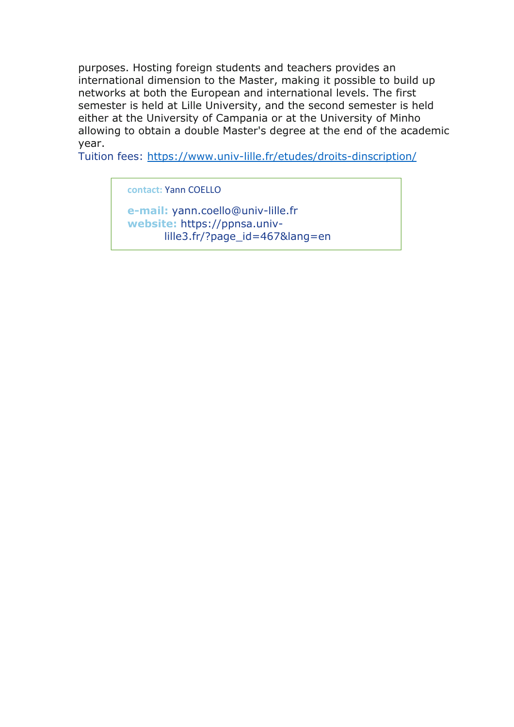purposes. Hosting foreign students and teachers provides an international dimension to the Master, making it possible to build up networks at both the European and international levels. The first semester is held at Lille University, and the second semester is held either at the University of Campania or at the University of Minho allowing to obtain a double Master's degree at the end of the academic year.

Tuition fees: https://www.univ-lille.fr/etudes/droits-dinscription/

**contact:** Yann COELLO

**e-mail:** yann.coello@univ-lille.fr **website:** https://ppnsa.univlille3.fr/?page\_id=467&lang=en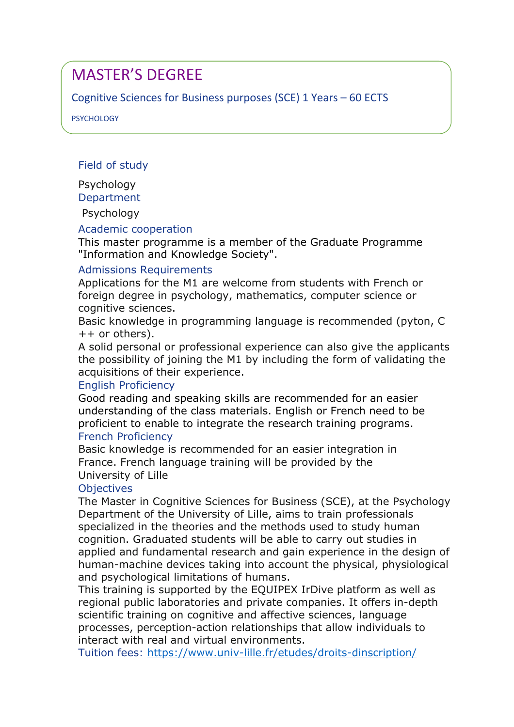# Cognitive Sciences for Business purposes (SCE) 1 Years – 60 ECTS

PSYCHOLOGY

Field of study

Psychology **Department** 

Psychology

# Academic cooperation

This master programme is a member of the Graduate Programme "Information and Knowledge Society".

# Admissions Requirements

Applications for the M1 are welcome from students with French or foreign degree in psychology, mathematics, computer science or cognitive sciences.

Basic knowledge in programming language is recommended (pyton, C ++ or others).

A solid personal or professional experience can also give the applicants the possibility of joining the M1 by including the form of validating the acquisitions of their experience.

# English Proficiency

Good reading and speaking skills are recommended for an easier understanding of the class materials. English or French need to be proficient to enable to integrate the research training programs. French Proficiency

Basic knowledge is recommended for an easier integration in France. French language training will be provided by the University of Lille

# **Objectives**

The Master in Cognitive Sciences for Business (SCE), at the Psychology Department of the University of Lille, aims to train professionals specialized in the theories and the methods used to study human cognition. Graduated students will be able to carry out studies in applied and fundamental research and gain experience in the design of human-machine devices taking into account the physical, physiological and psychological limitations of humans.

This training is supported by the EQUIPEX IrDive platform as well as regional public laboratories and private companies. It offers in-depth scientific training on cognitive and affective sciences, language processes, perception-action relationships that allow individuals to interact with real and virtual environments.

Tuition fees: https://www.univ-lille.fr/etudes/droits-dinscription/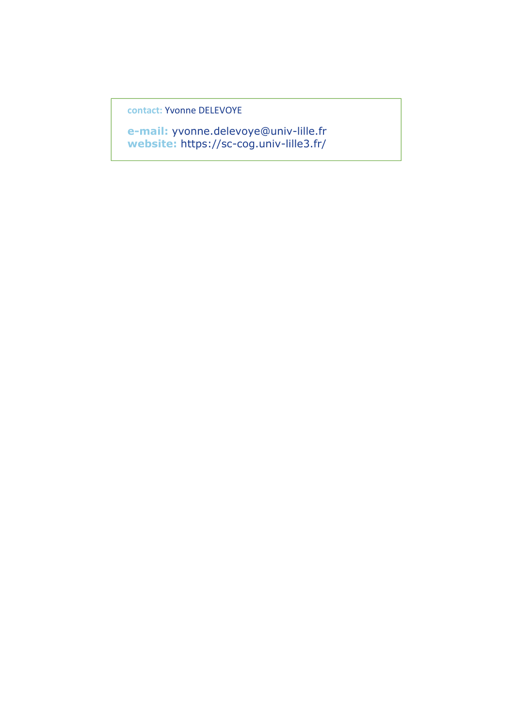**contact:** Yvonne DELEVOYE

**e-mail:** yvonne.delevoye@univ-lille.fr **website:** https://sc-cog.univ-lille3.fr/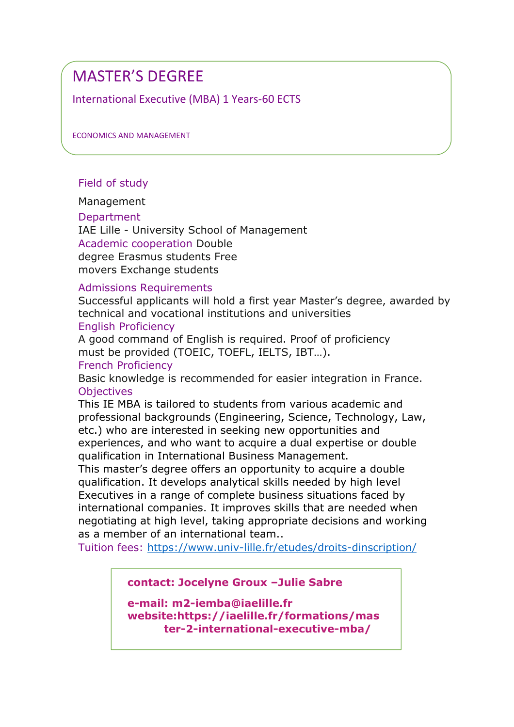International Executive (MBA) 1 Years-60 ECTS

ECONOMICS AND MANAGEMENT

# Field of study

Management

**Department** 

IAE Lille - University School of Management Academic cooperation Double degree Erasmus students Free movers Exchange students

#### Admissions Requirements

Successful applicants will hold a first year Master's degree, awarded by technical and vocational institutions and universities

#### English Proficiency

A good command of English is required. Proof of proficiency must be provided (TOEIC, TOEFL, IELTS, IBT…). French Proficiency

Basic knowledge is recommended for easier integration in France. **Objectives** 

This IE MBA is tailored to students from various academic and professional backgrounds (Engineering, Science, Technology, Law, etc.) who are interested in seeking new opportunities and experiences, and who want to acquire a dual expertise or double qualification in International Business Management.

This master's degree offers an opportunity to acquire a double qualification. It develops analytical skills needed by high level Executives in a range of complete business situations faced by international companies. It improves skills that are needed when negotiating at high level, taking appropriate decisions and working as a member of an international team..

Tuition fees: https://www.univ-lille.fr/etudes/droits-dinscription/

**contact: Jocelyne Groux –Julie Sabre** 

**e-mail: m2-iemba@iaelille.fr website:https://iaelille.fr/formations/mas ter-2-international-executive-mba/**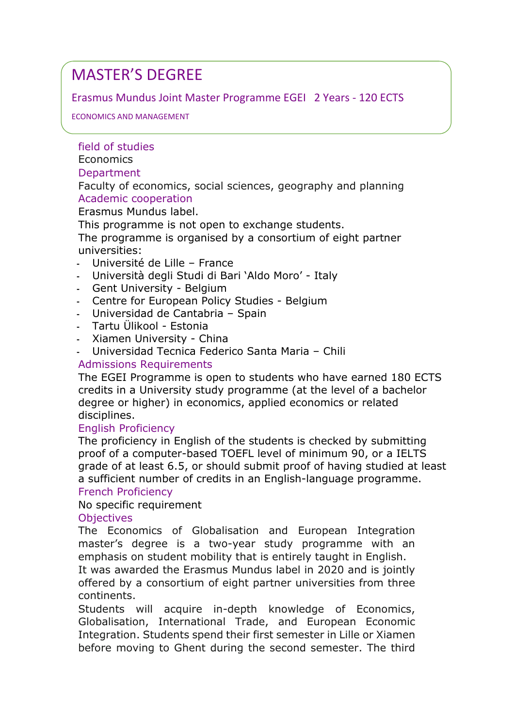# Erasmus Mundus Joint Master Programme EGEI 2 Years - 120 ECTS

### ECONOMICS AND MANAGEMENT

# field of studies

#### **Economics**

# Department

Faculty of economics, social sciences, geography and planning Academic cooperation

Erasmus Mundus label.

This programme is not open to exchange students.

The programme is organised by a consortium of eight partner universities:

- **-** Université de Lille France
- **-** Università degli Studi di Bari 'Aldo Moro' Italy
- **-** Gent University Belgium
- **-** Centre for European Policy Studies Belgium
- **-** Universidad de Cantabria Spain
- **-** Tartu Ülikool Estonia
- **-** Xiamen University China
- **-** Universidad Tecnica Federico Santa Maria Chili

# Admissions Requirements

The EGEI Programme is open to students who have earned 180 ECTS credits in a University study programme (at the level of a bachelor degree or higher) in economics, applied economics or related disciplines.

# English Proficiency

The proficiency in English of the students is checked by submitting proof of a computer-based TOEFL level of minimum 90, or a IELTS grade of at least 6.5, or should submit proof of having studied at least a sufficient number of credits in an English-language programme.

# French Proficiency

# No specific requirement

# **Objectives**

The Economics of Globalisation and European Integration master's degree is a two-year study programme with an emphasis on student mobility that is entirely taught in English. It was awarded the Erasmus Mundus label in 2020 and is jointly offered by a consortium of eight partner universities from three continents.

Students will acquire in-depth knowledge of Economics, Globalisation, International Trade, and European Economic Integration. Students spend their first semester in Lille or Xiamen before moving to Ghent during the second semester. The third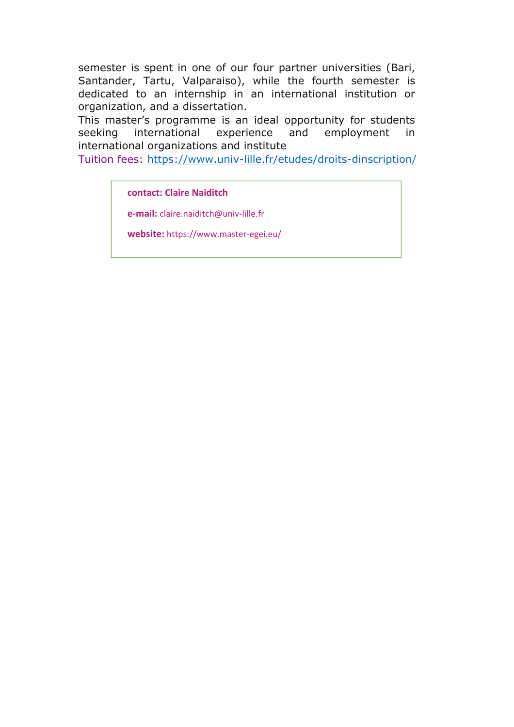semester is spent in one of our four partner universities (Bari, Santander, Tartu, Valparaiso), while the fourth semester is dedicated to an internship in an international institution or organization, and a dissertation.

This master's programme is an ideal opportunity for students seeking international experience and employment in international organizations and institute

Tuition fees: https://www.univ-lille.fr/etudes/droits-dinscription/

**contact: Claire Naiditch**

**e-mail:** claire.naiditch@univ-lille.fr

**website:** https://www.master-egei.eu/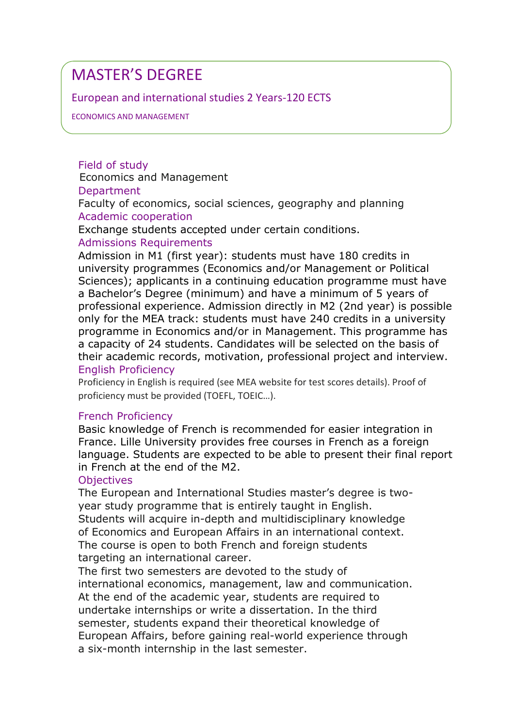# European and international studies 2 Years-120 ECTS

ECONOMICS AND MANAGEMENT

Field of study Economics and Management **Department** Faculty of economics, social sciences, geography and planning Academic cooperation

Exchange students accepted under certain conditions.

# Admissions Requirements

Admission in M1 (first year): students must have 180 credits in university programmes (Economics and/or Management or Political Sciences); applicants in a continuing education programme must have a Bachelor's Degree (minimum) and have a minimum of 5 years of professional experience. Admission directly in M2 (2nd year) is possible only for the MEA track: students must have 240 credits in a university programme in Economics and/or in Management. This programme has a capacity of 24 students. Candidates will be selected on the basis of their academic records, motivation, professional project and interview. English Proficiency

Proficiency in English is required (see MEA website for test scores details). Proof of proficiency must be provided (TOEFL, TOEIC…).

# French Proficiency

Basic knowledge of French is recommended for easier integration in France. Lille University provides free courses in French as a foreign language. Students are expected to be able to present their final report in French at the end of the M2.

# **Objectives**

The European and International Studies master's degree is twoyear study programme that is entirely taught in English. Students will acquire in-depth and multidisciplinary knowledge of Economics and European Affairs in an international context. The course is open to both French and foreign students targeting an international career.

The first two semesters are devoted to the study of international economics, management, law and communication. At the end of the academic year, students are required to undertake internships or write a dissertation. In the third semester, students expand their theoretical knowledge of European Affairs, before gaining real-world experience through a six-month internship in the last semester.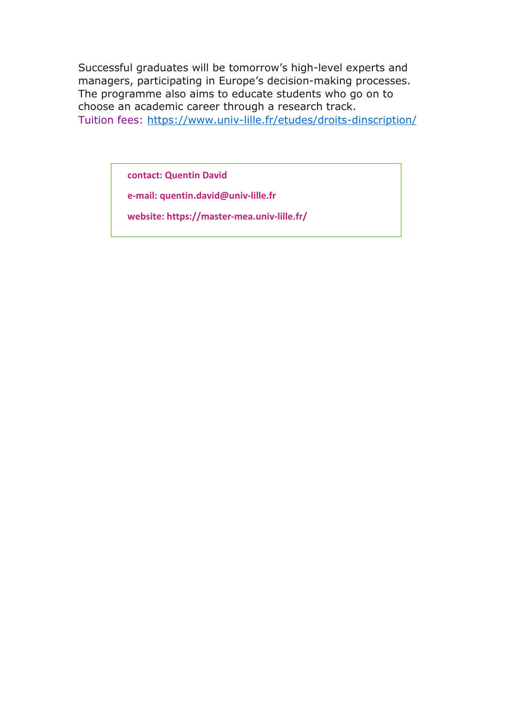Successful graduates will be tomorrow's high-level experts and managers, participating in Europe's decision-making processes. The programme also aims to educate students who go on to choose an academic career through a research track. Tuition fees: https://www.univ-lille.fr/etudes/droits-dinscription/

**contact: Quentin David**

**e-mail: quentin.david@univ-lille.fr**

**website: https://master-mea.univ-lille.fr/**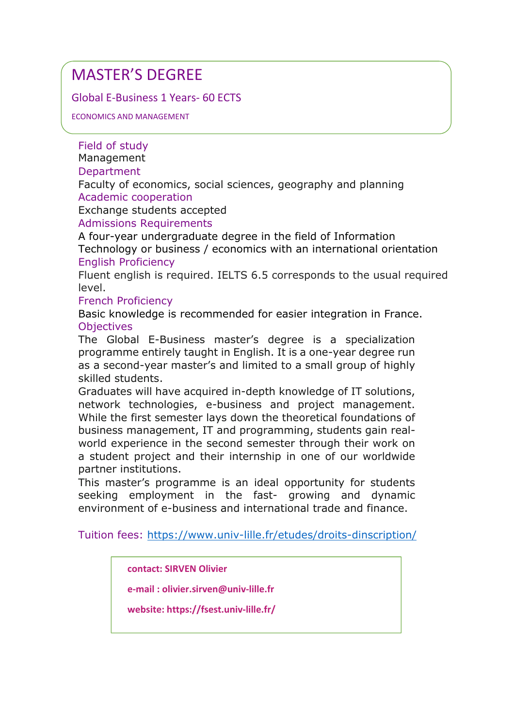Global E-Business 1 Years- 60 ECTS

ECONOMICS AND MANAGEMENT

Field of study

Management

**Department** 

Faculty of economics, social sciences, geography and planning Academic cooperation

Exchange students accepted

Admissions Requirements

A four-year undergraduate degree in the field of Information Technology or business / economics with an international orientation English Proficiency

Fluent english is required. IELTS 6.5 corresponds to the usual required level.

French Proficiency

Basic knowledge is recommended for easier integration in France. **Objectives** 

The Global E-Business master's degree is a specialization programme entirely taught in English. It is a one-year degree run as a second-year master's and limited to a small group of highly skilled students.

Graduates will have acquired in-depth knowledge of IT solutions, network technologies, e-business and project management. While the first semester lays down the theoretical foundations of business management, IT and programming, students gain realworld experience in the second semester through their work on a student project and their internship in one of our worldwide partner institutions.

This master's programme is an ideal opportunity for students seeking employment in the fast- growing and dynamic environment of e-business and international trade and finance.

Tuition fees: https://www.univ-lille.fr/etudes/droits-dinscription/

**contact: SIRVEN Olivier** 

**e-mail : olivier.sirven@univ-lille.fr**

**website: https://fsest.univ-lille.fr/**